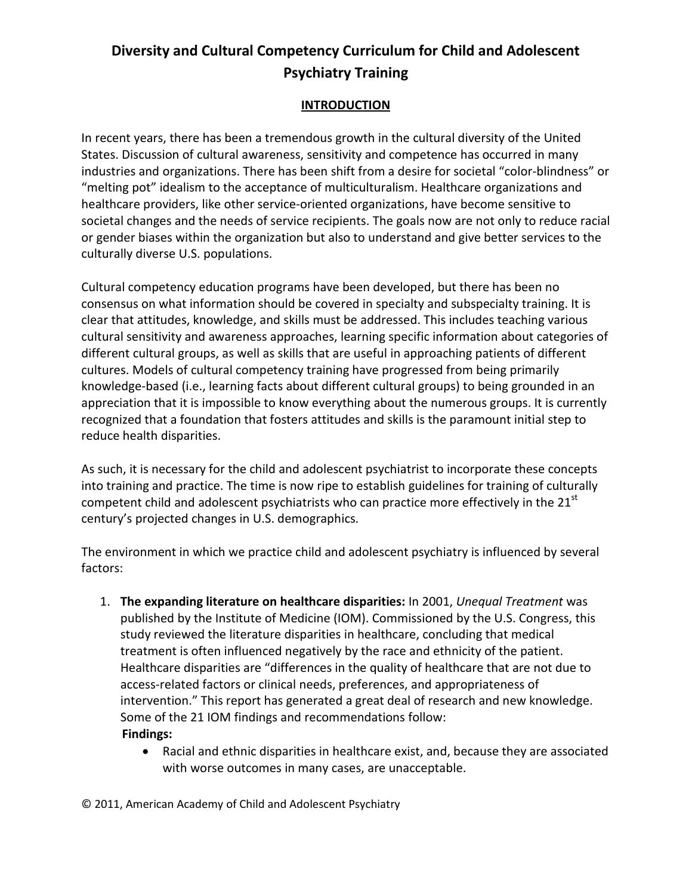#### **INTRODUCTION**

In recent years, there has been a tremendous growth in the cultural diversity of the United States. Discussion of cultural awareness, sensitivity and competence has occurred in many industries and organizations. There has been shift from a desire for societal "color-blindness" or "melting pot" idealism to the acceptance of multiculturalism. Healthcare organizations and healthcare providers, like other service-oriented organizations, have become sensitive to societal changes and the needs of service recipients. The goals now are not only to reduce racial or gender biases within the organization but also to understand and give better services to the culturally diverse U.S. populations.

Cultural competency education programs have been developed, but there has been no consensus on what information should be covered in specialty and subspecialty training. It is clear that attitudes, knowledge, and skills must be addressed. This includes teaching various cultural sensitivity and awareness approaches, learning specific information about categories of different cultural groups, as well as skills that are useful in approaching patients of different cultures. Models of cultural competency training have progressed from being primarily knowledge-based (i.e., learning facts about different cultural groups) to being grounded in an appreciation that it is impossible to know everything about the numerous groups. It is currently recognized that a foundation that fosters attitudes and skills is the paramount initial step to reduce health disparities.

As such, it is necessary for the child and adolescent psychiatrist to incorporate these concepts into training and practice. The time is now ripe to establish guidelines for training of culturally competent child and adolescent psychiatrists who can practice more effectively in the  $21<sup>st</sup>$ century's projected changes in U.S. demographics.

The environment in which we practice child and adolescent psychiatry is influenced by several factors:

- 1. **The expanding literature on healthcare disparities:** In 2001, *Unequal Treatment* was published by the Institute of Medicine (IOM). Commissioned by the U.S. Congress, this study reviewed the literature disparities in healthcare, concluding that medical treatment is often influenced negatively by the race and ethnicity of the patient. Healthcare disparities are "differences in the quality of healthcare that are not due to access-related factors or clinical needs, preferences, and appropriateness of intervention." This report has generated a great deal of research and new knowledge. Some of the 21 IOM findings and recommendations follow: **Findings:**
	- Racial and ethnic disparities in healthcare exist, and, because they are associated with worse outcomes in many cases, are unacceptable.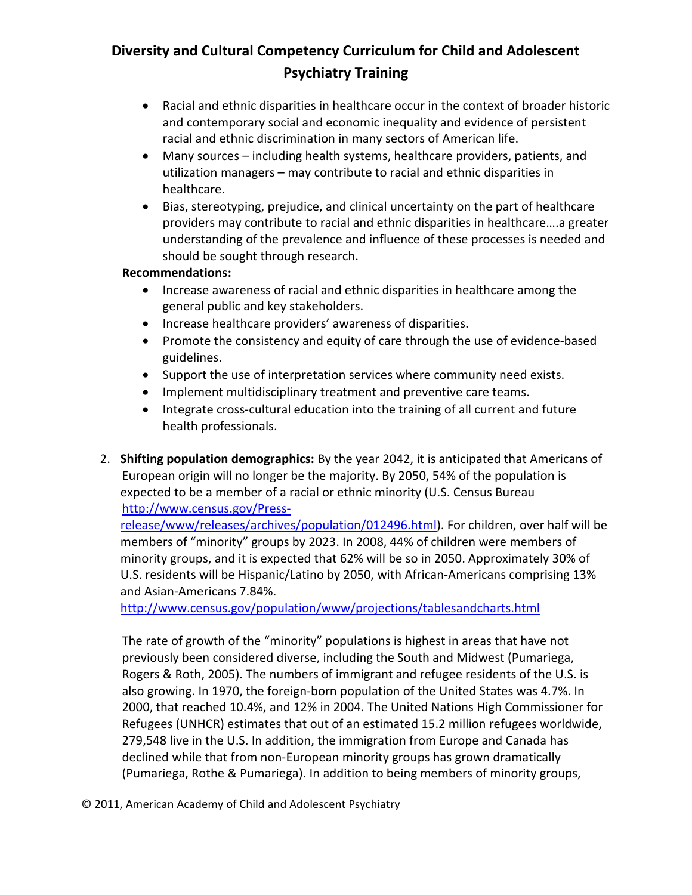- Racial and ethnic disparities in healthcare occur in the context of broader historic and contemporary social and economic inequality and evidence of persistent racial and ethnic discrimination in many sectors of American life.
- Many sources including health systems, healthcare providers, patients, and utilization managers – may contribute to racial and ethnic disparities in healthcare.
- Bias, stereotyping, prejudice, and clinical uncertainty on the part of healthcare providers may contribute to racial and ethnic disparities in healthcare….a greater understanding of the prevalence and influence of these processes is needed and should be sought through research.

#### **Recommendations:**

- Increase awareness of racial and ethnic disparities in healthcare among the general public and key stakeholders.
- Increase healthcare providers' awareness of disparities.
- Promote the consistency and equity of care through the use of evidence-based guidelines.
- Support the use of interpretation services where community need exists.
- Implement multidisciplinary treatment and preventive care teams.
- Integrate cross-cultural education into the training of all current and future health professionals.
- 2. **Shifting population demographics:** By the year 2042, it is anticipated that Americans of European origin will no longer be the majority. By 2050, 54% of the population is expected to be a member of a racial or ethnic minority (U.S. Census Bureau [http://www.census.gov/Press-](http://www.census.gov/Press-release/www/releases/archives/population/012496.html)

[release/www/releases/archives/population/012496.html\)](http://www.census.gov/Press-release/www/releases/archives/population/012496.html). For children, over half will be members of "minority" groups by 2023. In 2008, 44% of children were members of minority groups, and it is expected that 62% will be so in 2050. Approximately 30% of U.S. residents will be Hispanic/Latino by 2050, with African-Americans comprising 13% and Asian-Americans 7.84%.

<http://www.census.gov/population/www/projections/tablesandcharts.html>

The rate of growth of the "minority" populations is highest in areas that have not previously been considered diverse, including the South and Midwest (Pumariega, Rogers & Roth, 2005). The numbers of immigrant and refugee residents of the U.S. is also growing. In 1970, the foreign-born population of the United States was 4.7%. In 2000, that reached 10.4%, and 12% in 2004. The United Nations High Commissioner for Refugees (UNHCR) estimates that out of an estimated 15.2 million refugees worldwide, 279,548 live in the U.S. In addition, the immigration from Europe and Canada has declined while that from non-European minority groups has grown dramatically (Pumariega, Rothe & Pumariega). In addition to being members of minority groups,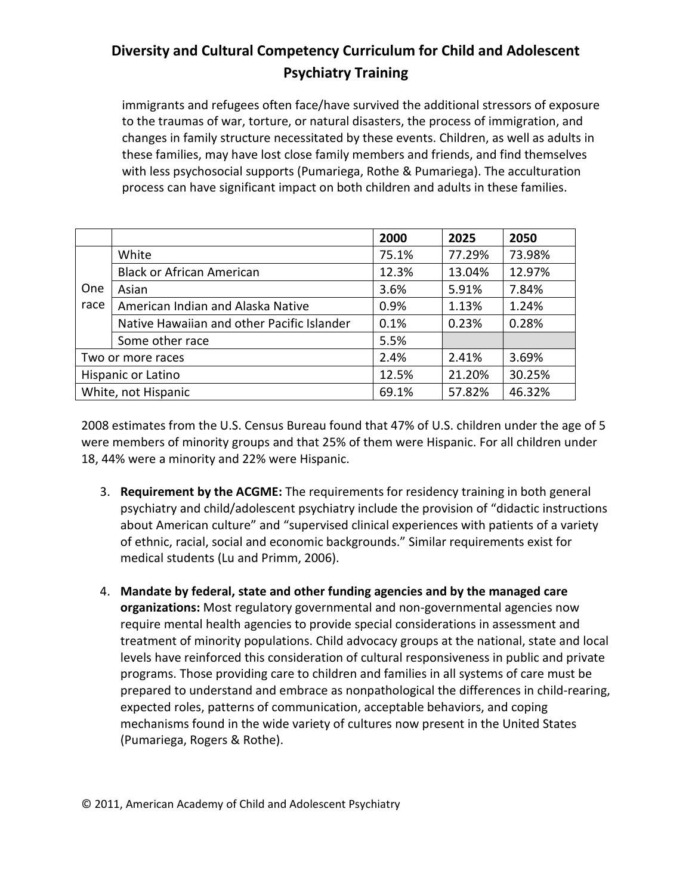immigrants and refugees often face/have survived the additional stressors of exposure to the traumas of war, torture, or natural disasters, the process of immigration, and changes in family structure necessitated by these events. Children, as well as adults in these families, may have lost close family members and friends, and find themselves with less psychosocial supports (Pumariega, Rothe & Pumariega). The acculturation process can have significant impact on both children and adults in these families.

|      |                                            | 2000  | 2025   | 2050   |
|------|--------------------------------------------|-------|--------|--------|
|      | White                                      | 75.1% | 77.29% | 73.98% |
|      | <b>Black or African American</b>           | 12.3% | 13.04% | 12.97% |
| One  | Asian                                      | 3.6%  | 5.91%  | 7.84%  |
| race | American Indian and Alaska Native          | 0.9%  | 1.13%  | 1.24%  |
|      | Native Hawaiian and other Pacific Islander | 0.1%  | 0.23%  | 0.28%  |
|      | Some other race                            | 5.5%  |        |        |
|      | Two or more races                          | 2.4%  | 2.41%  | 3.69%  |
|      | Hispanic or Latino                         | 12.5% | 21.20% | 30.25% |
|      | White, not Hispanic                        | 69.1% | 57.82% | 46.32% |

2008 estimates from the U.S. Census Bureau found that 47% of U.S. children under the age of 5 were members of minority groups and that 25% of them were Hispanic. For all children under 18, 44% were a minority and 22% were Hispanic.

- 3. **Requirement by the ACGME:** The requirements for residency training in both general psychiatry and child/adolescent psychiatry include the provision of "didactic instructions about American culture" and "supervised clinical experiences with patients of a variety of ethnic, racial, social and economic backgrounds." Similar requirements exist for medical students (Lu and Primm, 2006).
- 4. **Mandate by federal, state and other funding agencies and by the managed care organizations:** Most regulatory governmental and non-governmental agencies now require mental health agencies to provide special considerations in assessment and treatment of minority populations. Child advocacy groups at the national, state and local levels have reinforced this consideration of cultural responsiveness in public and private programs. Those providing care to children and families in all systems of care must be prepared to understand and embrace as nonpathological the differences in child-rearing, expected roles, patterns of communication, acceptable behaviors, and coping mechanisms found in the wide variety of cultures now present in the United States (Pumariega, Rogers & Rothe).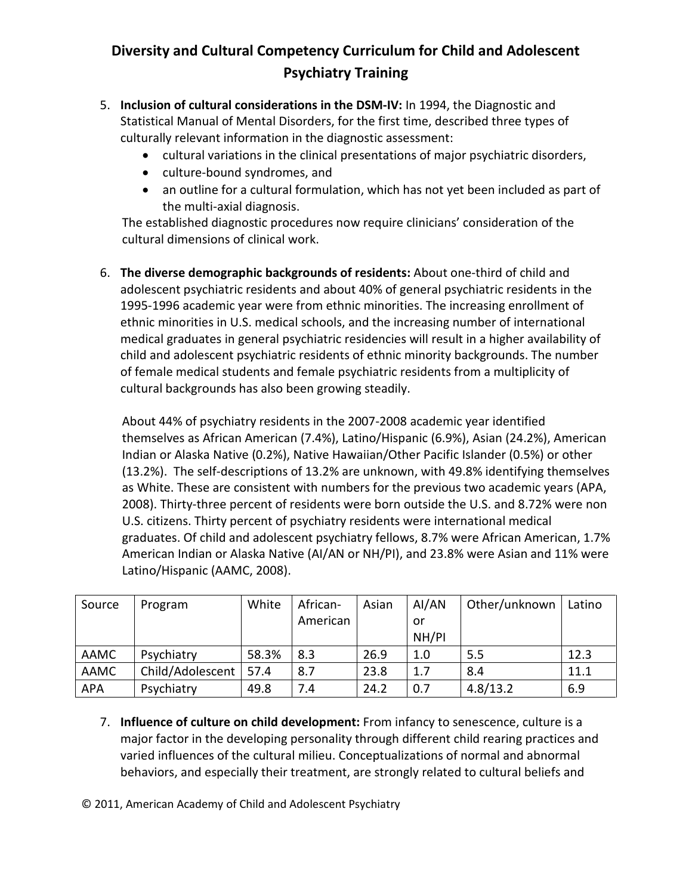- 5. **Inclusion of cultural considerations in the DSM-IV:** In 1994, the Diagnostic and Statistical Manual of Mental Disorders, for the first time, described three types of culturally relevant information in the diagnostic assessment:
	- cultural variations in the clinical presentations of major psychiatric disorders,
	- culture-bound syndromes, and
	- an outline for a cultural formulation, which has not yet been included as part of the multi-axial diagnosis.

The established diagnostic procedures now require clinicians' consideration of the cultural dimensions of clinical work.

6. **The diverse demographic backgrounds of residents:** About one-third of child and adolescent psychiatric residents and about 40% of general psychiatric residents in the 1995-1996 academic year were from ethnic minorities. The increasing enrollment of ethnic minorities in U.S. medical schools, and the increasing number of international medical graduates in general psychiatric residencies will result in a higher availability of child and adolescent psychiatric residents of ethnic minority backgrounds. The number of female medical students and female psychiatric residents from a multiplicity of cultural backgrounds has also been growing steadily.

About 44% of psychiatry residents in the 2007-2008 academic year identified themselves as African American (7.4%), Latino/Hispanic (6.9%), Asian (24.2%), American Indian or Alaska Native (0.2%), Native Hawaiian/Other Pacific Islander (0.5%) or other (13.2%). The self-descriptions of 13.2% are unknown, with 49.8% identifying themselves as White. These are consistent with numbers for the previous two academic years (APA, 2008). Thirty-three percent of residents were born outside the U.S. and 8.72% were non U.S. citizens. Thirty percent of psychiatry residents were international medical graduates. Of child and adolescent psychiatry fellows, 8.7% were African American, 1.7% American Indian or Alaska Native (AI/AN or NH/PI), and 23.8% were Asian and 11% were Latino/Hispanic (AAMC, 2008).

| Source      | Program          | White | African- | Asian | AI/AN | Other/unknown | Latino |
|-------------|------------------|-------|----------|-------|-------|---------------|--------|
|             |                  |       | American |       | or    |               |        |
|             |                  |       |          |       | NH/PI |               |        |
| <b>AAMC</b> | Psychiatry       | 58.3% | 8.3      | 26.9  | 1.0   | 5.5           | 12.3   |
| <b>AAMC</b> | Child/Adolescent | 57.4  | 8.7      | 23.8  | 1.7   | 8.4           | 11.1   |
| <b>APA</b>  | Psychiatry       | 49.8  | 7.4      | 24.2  | 0.7   | 4.8/13.2      | 6.9    |

- 7. **Influence of culture on child development:** From infancy to senescence, culture is a major factor in the developing personality through different child rearing practices and varied influences of the cultural milieu. Conceptualizations of normal and abnormal behaviors, and especially their treatment, are strongly related to cultural beliefs and
- © 2011, American Academy of Child and Adolescent Psychiatry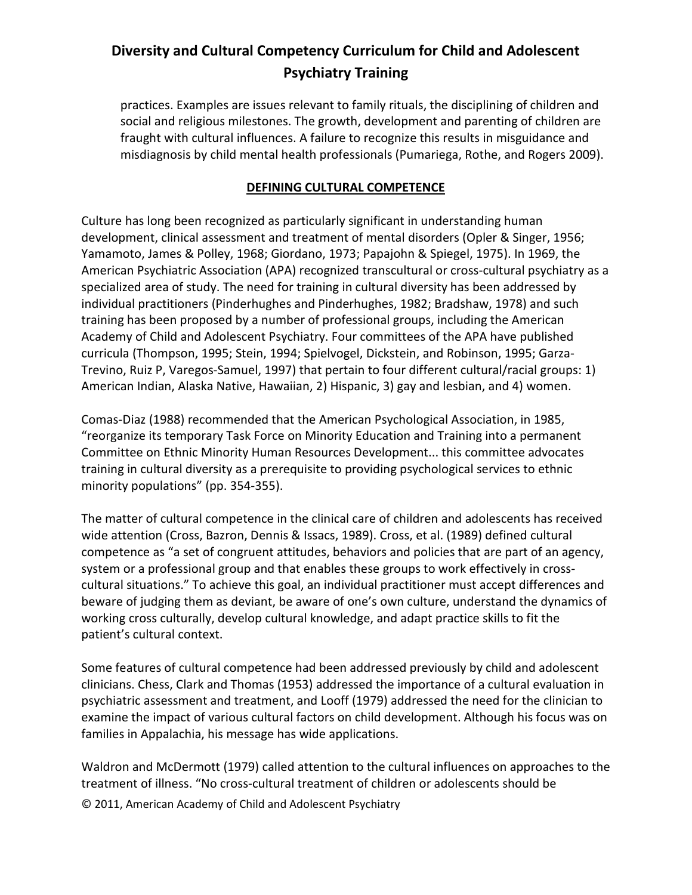practices. Examples are issues relevant to family rituals, the disciplining of children and social and religious milestones. The growth, development and parenting of children are fraught with cultural influences. A failure to recognize this results in misguidance and misdiagnosis by child mental health professionals (Pumariega, Rothe, and Rogers 2009).

#### **DEFINING CULTURAL COMPETENCE**

Culture has long been recognized as particularly significant in understanding human development, clinical assessment and treatment of mental disorders (Opler & Singer, 1956; Yamamoto, James & Polley, 1968; Giordano, 1973; Papajohn & Spiegel, 1975). In 1969, the American Psychiatric Association (APA) recognized transcultural or cross-cultural psychiatry as a specialized area of study. The need for training in cultural diversity has been addressed by individual practitioners (Pinderhughes and Pinderhughes, 1982; Bradshaw, 1978) and such training has been proposed by a number of professional groups, including the American Academy of Child and Adolescent Psychiatry. Four committees of the APA have published curricula (Thompson, 1995; Stein, 1994; Spielvogel, Dickstein, and Robinson, 1995; Garza-Trevino, Ruiz P, Varegos-Samuel, 1997) that pertain to four different cultural/racial groups: 1) American Indian, Alaska Native, Hawaiian, 2) Hispanic, 3) gay and lesbian, and 4) women.

Comas-Diaz (1988) recommended that the American Psychological Association, in 1985, "reorganize its temporary Task Force on Minority Education and Training into a permanent Committee on Ethnic Minority Human Resources Development... this committee advocates training in cultural diversity as a prerequisite to providing psychological services to ethnic minority populations" (pp. 354-355).

The matter of cultural competence in the clinical care of children and adolescents has received wide attention (Cross, Bazron, Dennis & Issacs, 1989). Cross, et al. (1989) defined cultural competence as "a set of congruent attitudes, behaviors and policies that are part of an agency, system or a professional group and that enables these groups to work effectively in crosscultural situations." To achieve this goal, an individual practitioner must accept differences and beware of judging them as deviant, be aware of one's own culture, understand the dynamics of working cross culturally, develop cultural knowledge, and adapt practice skills to fit the patient's cultural context.

Some features of cultural competence had been addressed previously by child and adolescent clinicians. Chess, Clark and Thomas (1953) addressed the importance of a cultural evaluation in psychiatric assessment and treatment, and Looff (1979) addressed the need for the clinician to examine the impact of various cultural factors on child development. Although his focus was on families in Appalachia, his message has wide applications.

© 2011, American Academy of Child and Adolescent Psychiatry Waldron and McDermott (1979) called attention to the cultural influences on approaches to the treatment of illness. "No cross-cultural treatment of children or adolescents should be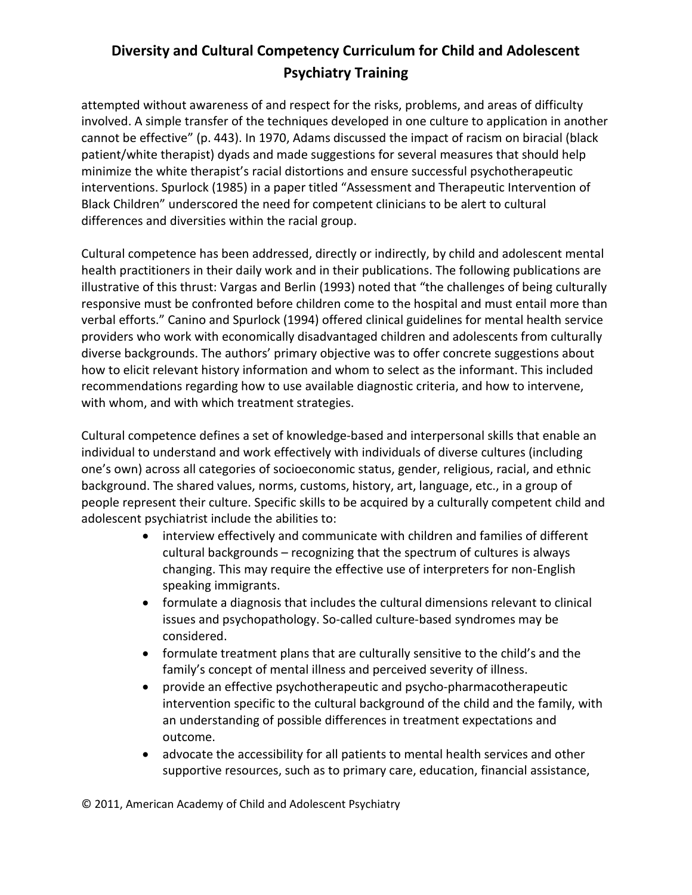attempted without awareness of and respect for the risks, problems, and areas of difficulty involved. A simple transfer of the techniques developed in one culture to application in another cannot be effective" (p. 443). In 1970, Adams discussed the impact of racism on biracial (black patient/white therapist) dyads and made suggestions for several measures that should help minimize the white therapist's racial distortions and ensure successful psychotherapeutic interventions. Spurlock (1985) in a paper titled "Assessment and Therapeutic Intervention of Black Children" underscored the need for competent clinicians to be alert to cultural differences and diversities within the racial group.

Cultural competence has been addressed, directly or indirectly, by child and adolescent mental health practitioners in their daily work and in their publications. The following publications are illustrative of this thrust: Vargas and Berlin (1993) noted that "the challenges of being culturally responsive must be confronted before children come to the hospital and must entail more than verbal efforts." Canino and Spurlock (1994) offered clinical guidelines for mental health service providers who work with economically disadvantaged children and adolescents from culturally diverse backgrounds. The authors' primary objective was to offer concrete suggestions about how to elicit relevant history information and whom to select as the informant. This included recommendations regarding how to use available diagnostic criteria, and how to intervene, with whom, and with which treatment strategies.

Cultural competence defines a set of knowledge-based and interpersonal skills that enable an individual to understand and work effectively with individuals of diverse cultures (including one's own) across all categories of socioeconomic status, gender, religious, racial, and ethnic background. The shared values, norms, customs, history, art, language, etc., in a group of people represent their culture. Specific skills to be acquired by a culturally competent child and adolescent psychiatrist include the abilities to:

- interview effectively and communicate with children and families of different cultural backgrounds – recognizing that the spectrum of cultures is always changing. This may require the effective use of interpreters for non-English speaking immigrants.
- formulate a diagnosis that includes the cultural dimensions relevant to clinical issues and psychopathology. So-called culture-based syndromes may be considered.
- formulate treatment plans that are culturally sensitive to the child's and the family's concept of mental illness and perceived severity of illness.
- provide an effective psychotherapeutic and psycho-pharmacotherapeutic intervention specific to the cultural background of the child and the family, with an understanding of possible differences in treatment expectations and outcome.
- advocate the accessibility for all patients to mental health services and other supportive resources, such as to primary care, education, financial assistance,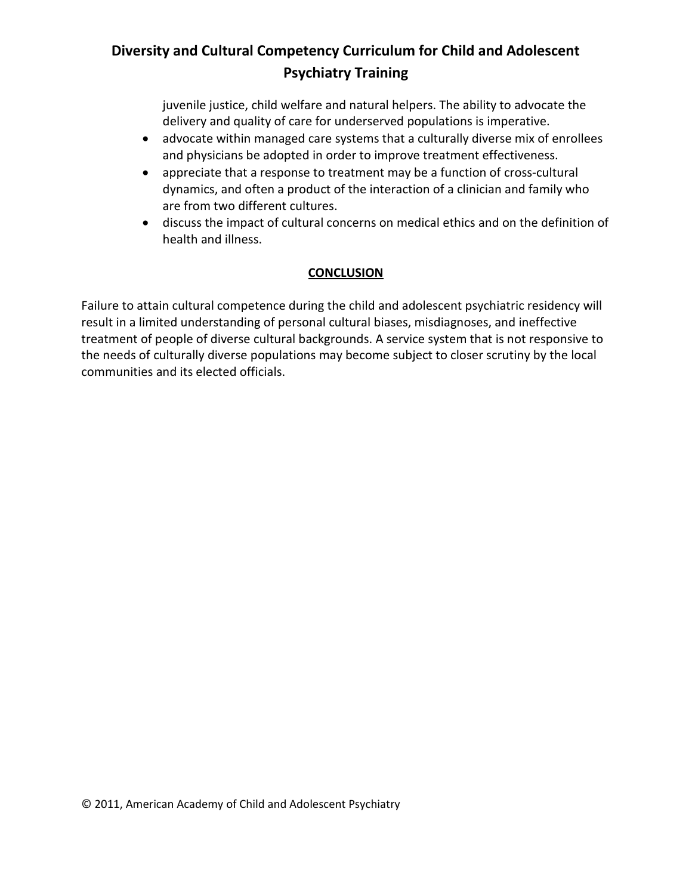juvenile justice, child welfare and natural helpers. The ability to advocate the delivery and quality of care for underserved populations is imperative.

- advocate within managed care systems that a culturally diverse mix of enrollees and physicians be adopted in order to improve treatment effectiveness.
- appreciate that a response to treatment may be a function of cross-cultural dynamics, and often a product of the interaction of a clinician and family who are from two different cultures.
- discuss the impact of cultural concerns on medical ethics and on the definition of health and illness.

## **CONCLUSION**

Failure to attain cultural competence during the child and adolescent psychiatric residency will result in a limited understanding of personal cultural biases, misdiagnoses, and ineffective treatment of people of diverse cultural backgrounds. A service system that is not responsive to the needs of culturally diverse populations may become subject to closer scrutiny by the local communities and its elected officials.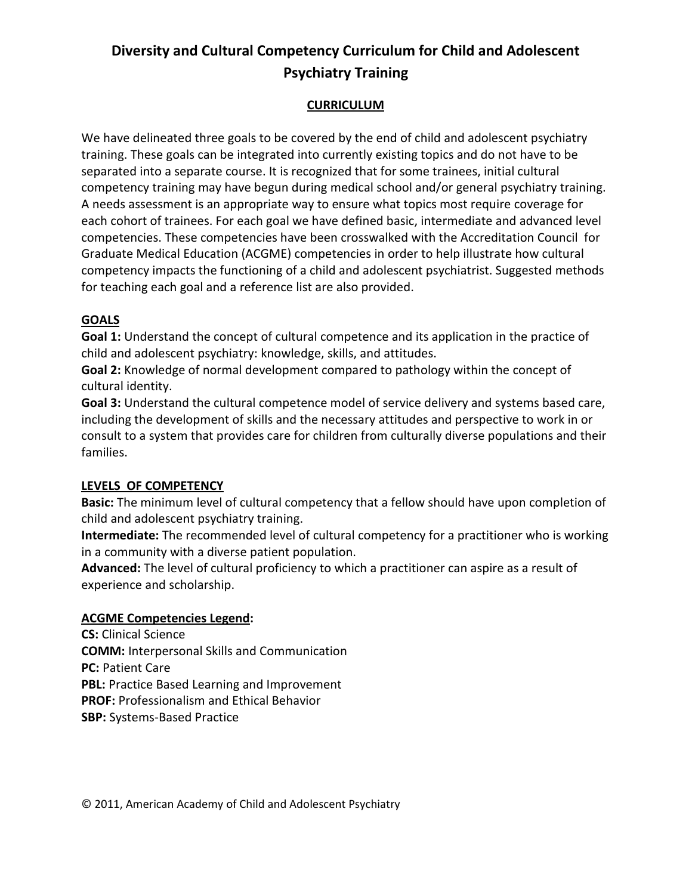### **CURRICULUM**

We have delineated three goals to be covered by the end of child and adolescent psychiatry training. These goals can be integrated into currently existing topics and do not have to be separated into a separate course. It is recognized that for some trainees, initial cultural competency training may have begun during medical school and/or general psychiatry training. A needs assessment is an appropriate way to ensure what topics most require coverage for each cohort of trainees. For each goal we have defined basic, intermediate and advanced level competencies. These competencies have been crosswalked with the Accreditation Council for Graduate Medical Education (ACGME) competencies in order to help illustrate how cultural competency impacts the functioning of a child and adolescent psychiatrist. Suggested methods for teaching each goal and a reference list are also provided.

#### **GOALS**

**Goal 1:** Understand the concept of cultural competence and its application in the practice of child and adolescent psychiatry: knowledge, skills, and attitudes.

**Goal 2:** Knowledge of normal development compared to pathology within the concept of cultural identity.

**Goal 3:** Understand the cultural competence model of service delivery and systems based care, including the development of skills and the necessary attitudes and perspective to work in or consult to a system that provides care for children from culturally diverse populations and their families.

#### **LEVELS OF COMPETENCY**

**Basic:** The minimum level of cultural competency that a fellow should have upon completion of child and adolescent psychiatry training.

**Intermediate:** The recommended level of cultural competency for a practitioner who is working in a community with a diverse patient population.

**Advanced:** The level of cultural proficiency to which a practitioner can aspire as a result of experience and scholarship.

#### **ACGME Competencies Legend:**

**CS:** Clinical Science **COMM:** Interpersonal Skills and Communication **PC:** Patient Care **PBL:** Practice Based Learning and Improvement **PROF:** Professionalism and Ethical Behavior **SBP:** Systems-Based Practice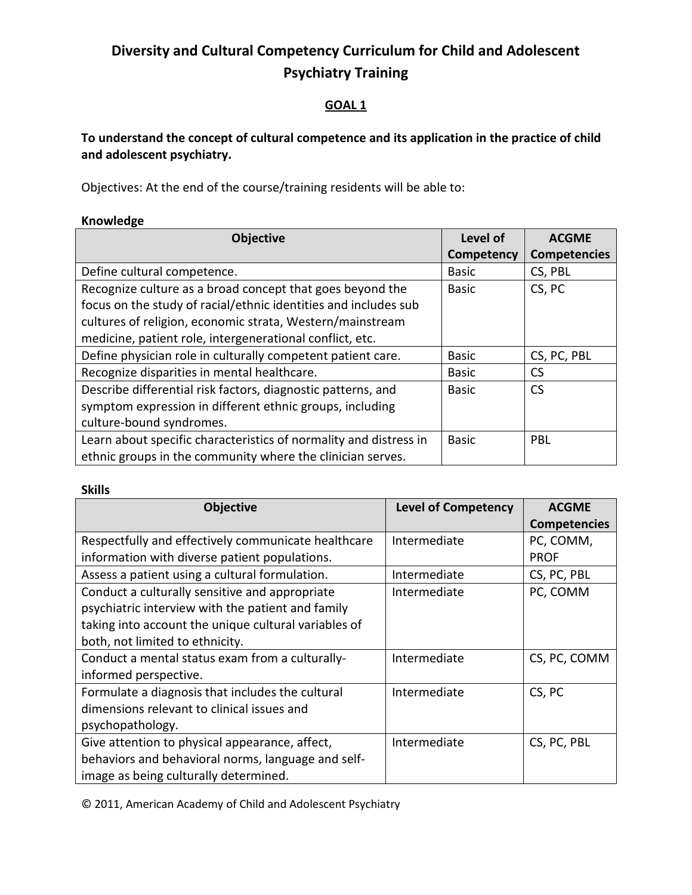#### **GOAL 1**

## **To understand the concept of cultural competence and its application in the practice of child and adolescent psychiatry.**

Objectives: At the end of the course/training residents will be able to:

#### **Knowledge**

| <b>Objective</b>                                                  | Level of     | <b>ACGME</b>        |
|-------------------------------------------------------------------|--------------|---------------------|
|                                                                   | Competency   | <b>Competencies</b> |
| Define cultural competence.                                       | <b>Basic</b> | CS, PBL             |
| Recognize culture as a broad concept that goes beyond the         | <b>Basic</b> | CS, PC              |
| focus on the study of racial/ethnic identities and includes sub   |              |                     |
| cultures of religion, economic strata, Western/mainstream         |              |                     |
| medicine, patient role, intergenerational conflict, etc.          |              |                     |
| Define physician role in culturally competent patient care.       | <b>Basic</b> | CS, PC, PBL         |
| Recognize disparities in mental healthcare.                       | <b>Basic</b> | <b>CS</b>           |
| Describe differential risk factors, diagnostic patterns, and      | <b>Basic</b> | <b>CS</b>           |
| symptom expression in different ethnic groups, including          |              |                     |
| culture-bound syndromes.                                          |              |                     |
| Learn about specific characteristics of normality and distress in | <b>Basic</b> | <b>PBL</b>          |
| ethnic groups in the community where the clinician serves.        |              |                     |

#### **Skills**

| <b>Objective</b>                                     | <b>Level of Competency</b> | <b>ACGME</b>        |
|------------------------------------------------------|----------------------------|---------------------|
|                                                      |                            | <b>Competencies</b> |
| Respectfully and effectively communicate healthcare  | Intermediate               | PC, COMM,           |
| information with diverse patient populations.        |                            | <b>PROF</b>         |
| Assess a patient using a cultural formulation.       | Intermediate               | CS, PC, PBL         |
| Conduct a culturally sensitive and appropriate       | Intermediate               | PC, COMM            |
| psychiatric interview with the patient and family    |                            |                     |
| taking into account the unique cultural variables of |                            |                     |
| both, not limited to ethnicity.                      |                            |                     |
| Conduct a mental status exam from a culturally-      | Intermediate               | CS, PC, COMM        |
| informed perspective.                                |                            |                     |
| Formulate a diagnosis that includes the cultural     | Intermediate               | CS, PC              |
| dimensions relevant to clinical issues and           |                            |                     |
| psychopathology.                                     |                            |                     |
| Give attention to physical appearance, affect,       | Intermediate               | CS, PC, PBL         |
| behaviors and behavioral norms, language and self-   |                            |                     |
| image as being culturally determined.                |                            |                     |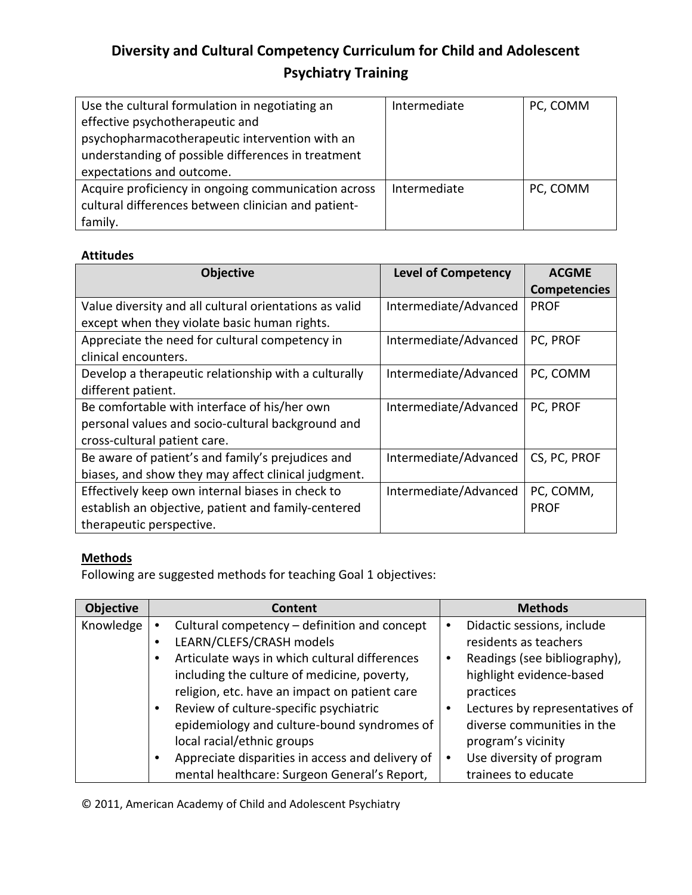| Use the cultural formulation in negotiating an      | Intermediate | PC, COMM |
|-----------------------------------------------------|--------------|----------|
| effective psychotherapeutic and                     |              |          |
| psychopharmacotherapeutic intervention with an      |              |          |
| understanding of possible differences in treatment  |              |          |
| expectations and outcome.                           |              |          |
| Acquire proficiency in ongoing communication across | Intermediate | PC, COMM |
| cultural differences between clinician and patient- |              |          |
| family.                                             |              |          |

#### **Attitudes**

| <b>Objective</b>                                       | <b>Level of Competency</b> | <b>ACGME</b>        |
|--------------------------------------------------------|----------------------------|---------------------|
|                                                        |                            | <b>Competencies</b> |
| Value diversity and all cultural orientations as valid | Intermediate/Advanced      | <b>PROF</b>         |
| except when they violate basic human rights.           |                            |                     |
| Appreciate the need for cultural competency in         | Intermediate/Advanced      | PC, PROF            |
| clinical encounters.                                   |                            |                     |
| Develop a therapeutic relationship with a culturally   | Intermediate/Advanced      | PC, COMM            |
| different patient.                                     |                            |                     |
| Be comfortable with interface of his/her own           | Intermediate/Advanced      | PC, PROF            |
| personal values and socio-cultural background and      |                            |                     |
| cross-cultural patient care.                           |                            |                     |
| Be aware of patient's and family's prejudices and      | Intermediate/Advanced      | CS, PC, PROF        |
| biases, and show they may affect clinical judgment.    |                            |                     |
| Effectively keep own internal biases in check to       | Intermediate/Advanced      | PC, COMM,           |
| establish an objective, patient and family-centered    |                            | <b>PROF</b>         |
| therapeutic perspective.                               |                            |                     |

## **Methods**

Following are suggested methods for teaching Goal 1 objectives:

| <b>Objective</b> | <b>Content</b>                                   | <b>Methods</b>                 |
|------------------|--------------------------------------------------|--------------------------------|
| Knowledge        | Cultural competency - definition and concept     | Didactic sessions, include     |
|                  | LEARN/CLEFS/CRASH models                         | residents as teachers          |
|                  | Articulate ways in which cultural differences    | Readings (see bibliography),   |
|                  | including the culture of medicine, poverty,      | highlight evidence-based       |
|                  | religion, etc. have an impact on patient care    | practices                      |
|                  | Review of culture-specific psychiatric           | Lectures by representatives of |
|                  | epidemiology and culture-bound syndromes of      | diverse communities in the     |
|                  | local racial/ethnic groups                       | program's vicinity             |
|                  | Appreciate disparities in access and delivery of | Use diversity of program       |
|                  | mental healthcare: Surgeon General's Report,     | trainees to educate            |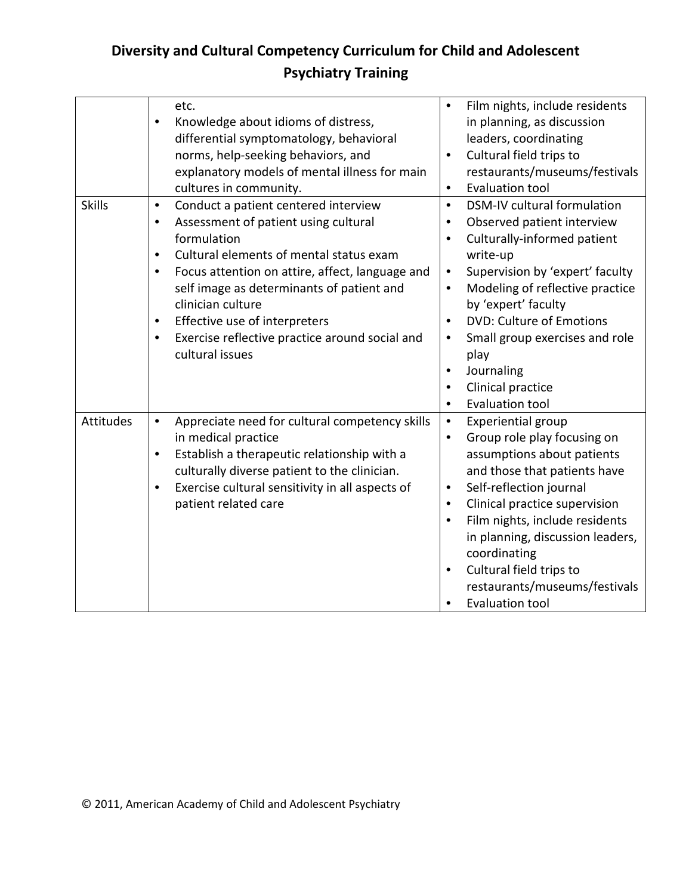|                  | etc.<br>Knowledge about idioms of distress,<br>differential symptomatology, behavioral<br>norms, help-seeking behaviors, and<br>explanatory models of mental illness for main<br>cultures in community.                                                                                                                                                                                                                    | Film nights, include residents<br>$\bullet$<br>in planning, as discussion<br>leaders, coordinating<br>Cultural field trips to<br>$\bullet$<br>restaurants/museums/festivals<br>Evaluation tool<br>$\bullet$                                                                                                                                                                                                                                              |
|------------------|----------------------------------------------------------------------------------------------------------------------------------------------------------------------------------------------------------------------------------------------------------------------------------------------------------------------------------------------------------------------------------------------------------------------------|----------------------------------------------------------------------------------------------------------------------------------------------------------------------------------------------------------------------------------------------------------------------------------------------------------------------------------------------------------------------------------------------------------------------------------------------------------|
| <b>Skills</b>    | Conduct a patient centered interview<br>$\bullet$<br>Assessment of patient using cultural<br>$\bullet$<br>formulation<br>Cultural elements of mental status exam<br>$\bullet$<br>Focus attention on attire, affect, language and<br>self image as determinants of patient and<br>clinician culture<br>Effective use of interpreters<br>٠<br>Exercise reflective practice around social and<br>$\bullet$<br>cultural issues | DSM-IV cultural formulation<br>$\bullet$<br>Observed patient interview<br>Culturally-informed patient<br>$\bullet$<br>write-up<br>Supervision by 'expert' faculty<br>$\bullet$<br>Modeling of reflective practice<br>$\bullet$<br>by 'expert' faculty<br><b>DVD: Culture of Emotions</b><br>$\bullet$<br>Small group exercises and role<br>٠<br>play<br>Journaling<br>$\bullet$<br>Clinical practice<br>$\bullet$<br><b>Evaluation tool</b><br>$\bullet$ |
| <b>Attitudes</b> | Appreciate need for cultural competency skills<br>$\bullet$<br>in medical practice<br>Establish a therapeutic relationship with a<br>$\bullet$<br>culturally diverse patient to the clinician.<br>Exercise cultural sensitivity in all aspects of<br>$\bullet$<br>patient related care                                                                                                                                     | Experiential group<br>$\bullet$<br>Group role play focusing on<br>$\bullet$<br>assumptions about patients<br>and those that patients have<br>Self-reflection journal<br>$\bullet$<br>Clinical practice supervision<br>$\bullet$<br>Film nights, include residents<br>$\bullet$<br>in planning, discussion leaders,<br>coordinating<br>Cultural field trips to<br>$\bullet$<br>restaurants/museums/festivals<br>Evaluation tool<br>$\bullet$              |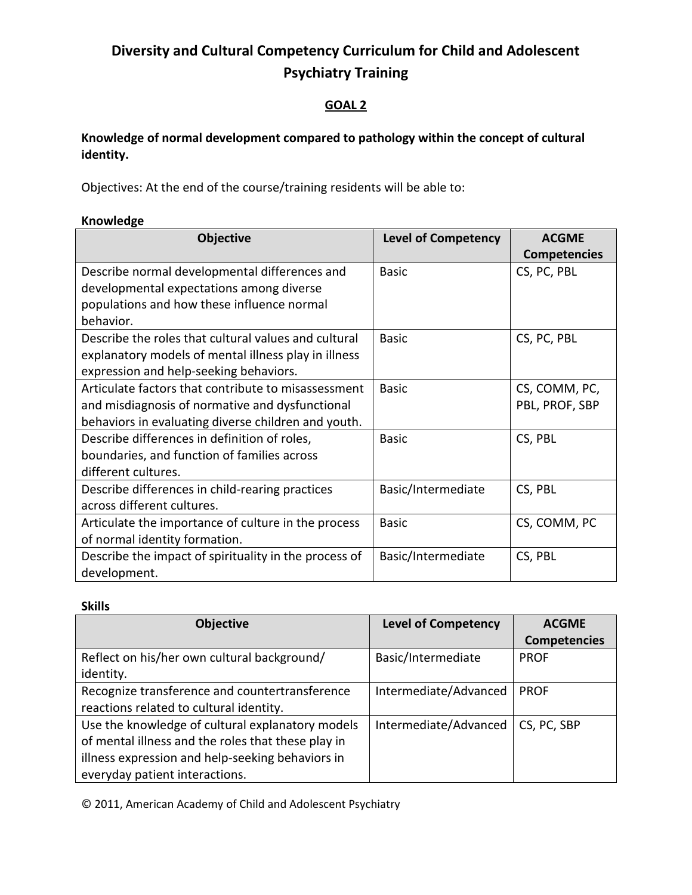### **GOAL 2**

## **Knowledge of normal development compared to pathology within the concept of cultural identity.**

Objectives: At the end of the course/training residents will be able to:

#### **Knowledge**

| <b>Objective</b>                                      | <b>Level of Competency</b> | <b>ACGME</b>        |
|-------------------------------------------------------|----------------------------|---------------------|
|                                                       |                            | <b>Competencies</b> |
| Describe normal developmental differences and         | <b>Basic</b>               | CS, PC, PBL         |
| developmental expectations among diverse              |                            |                     |
| populations and how these influence normal            |                            |                     |
| behavior.                                             |                            |                     |
| Describe the roles that cultural values and cultural  | <b>Basic</b>               | CS, PC, PBL         |
| explanatory models of mental illness play in illness  |                            |                     |
| expression and help-seeking behaviors.                |                            |                     |
| Articulate factors that contribute to misassessment   | <b>Basic</b>               | CS, COMM, PC,       |
| and misdiagnosis of normative and dysfunctional       |                            | PBL, PROF, SBP      |
| behaviors in evaluating diverse children and youth.   |                            |                     |
| Describe differences in definition of roles,          | <b>Basic</b>               | CS, PBL             |
| boundaries, and function of families across           |                            |                     |
| different cultures.                                   |                            |                     |
| Describe differences in child-rearing practices       | Basic/Intermediate         | CS, PBL             |
| across different cultures.                            |                            |                     |
| Articulate the importance of culture in the process   | <b>Basic</b>               | CS, COMM, PC        |
| of normal identity formation.                         |                            |                     |
| Describe the impact of spirituality in the process of | Basic/Intermediate         | CS, PBL             |
| development.                                          |                            |                     |

#### **Skills**

| <b>Objective</b>                                   | <b>Level of Competency</b> | <b>ACGME</b>        |
|----------------------------------------------------|----------------------------|---------------------|
|                                                    |                            | <b>Competencies</b> |
| Reflect on his/her own cultural background/        | Basic/Intermediate         | <b>PROF</b>         |
| identity.                                          |                            |                     |
| Recognize transference and countertransference     | Intermediate/Advanced      | <b>PROF</b>         |
| reactions related to cultural identity.            |                            |                     |
| Use the knowledge of cultural explanatory models   | Intermediate/Advanced      | CS, PC, SBP         |
| of mental illness and the roles that these play in |                            |                     |
| illness expression and help-seeking behaviors in   |                            |                     |
| everyday patient interactions.                     |                            |                     |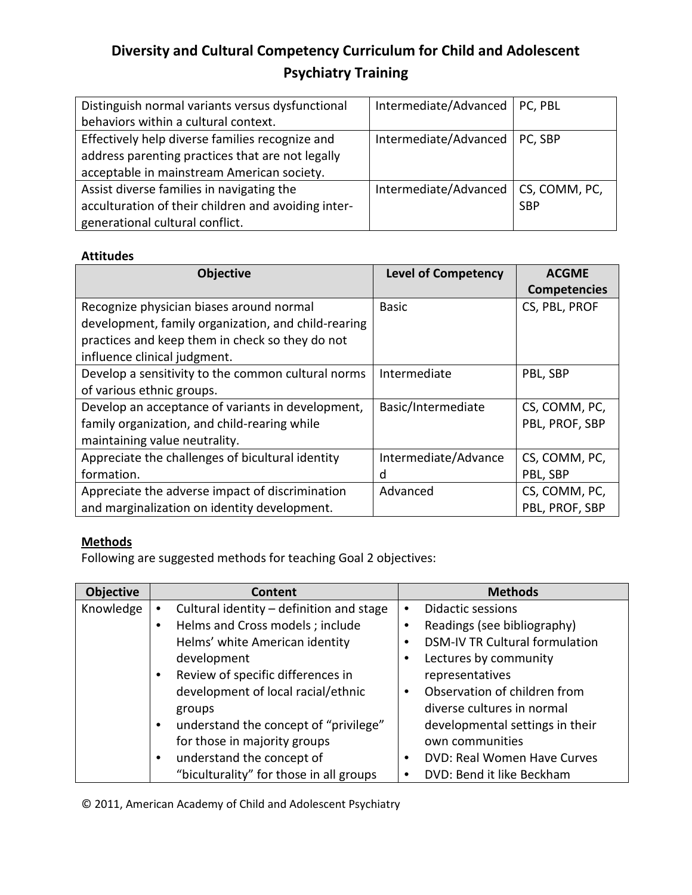| Distinguish normal variants versus dysfunctional    | Intermediate/Advanced   PC, PBL       |            |
|-----------------------------------------------------|---------------------------------------|------------|
| behaviors within a cultural context.                |                                       |            |
| Effectively help diverse families recognize and     | Intermediate/Advanced                 | PC, SBP    |
| address parenting practices that are not legally    |                                       |            |
| acceptable in mainstream American society.          |                                       |            |
| Assist diverse families in navigating the           | Intermediate/Advanced   CS, COMM, PC, |            |
| acculturation of their children and avoiding inter- |                                       | <b>SBP</b> |
| generational cultural conflict.                     |                                       |            |

#### **Attitudes**

| <b>Objective</b>                                    | <b>Level of Competency</b> | <b>ACGME</b>        |
|-----------------------------------------------------|----------------------------|---------------------|
|                                                     |                            | <b>Competencies</b> |
| Recognize physician biases around normal            | Basic                      | CS, PBL, PROF       |
| development, family organization, and child-rearing |                            |                     |
| practices and keep them in check so they do not     |                            |                     |
| influence clinical judgment.                        |                            |                     |
| Develop a sensitivity to the common cultural norms  | Intermediate               | PBL, SBP            |
| of various ethnic groups.                           |                            |                     |
| Develop an acceptance of variants in development,   | Basic/Intermediate         | CS, COMM, PC,       |
| family organization, and child-rearing while        |                            | PBL, PROF, SBP      |
| maintaining value neutrality.                       |                            |                     |
| Appreciate the challenges of bicultural identity    | Intermediate/Advance       | CS, COMM, PC,       |
| formation.                                          | d                          | PBL, SBP            |
| Appreciate the adverse impact of discrimination     | Advanced                   | CS, COMM, PC,       |
| and marginalization on identity development.        |                            | PBL, PROF, SBP      |

## **Methods**

Following are suggested methods for teaching Goal 2 objectives:

| <b>Objective</b> | <b>Content</b>                           | <b>Methods</b>                           |
|------------------|------------------------------------------|------------------------------------------|
| Knowledge        | Cultural identity - definition and stage | Didactic sessions<br>$\bullet$           |
|                  | Helms and Cross models; include          | Readings (see bibliography)<br>٠         |
|                  | Helms' white American identity           | <b>DSM-IV TR Cultural formulation</b>    |
|                  | development                              | Lectures by community                    |
|                  | Review of specific differences in        | representatives                          |
|                  | development of local racial/ethnic       | Observation of children from<br>٠        |
|                  | groups                                   | diverse cultures in normal               |
|                  | understand the concept of "privilege"    | developmental settings in their          |
|                  | for those in majority groups             | own communities                          |
|                  | understand the concept of                | DVD: Real Women Have Curves<br>$\bullet$ |
|                  | "biculturality" for those in all groups  | DVD: Bend it like Beckham                |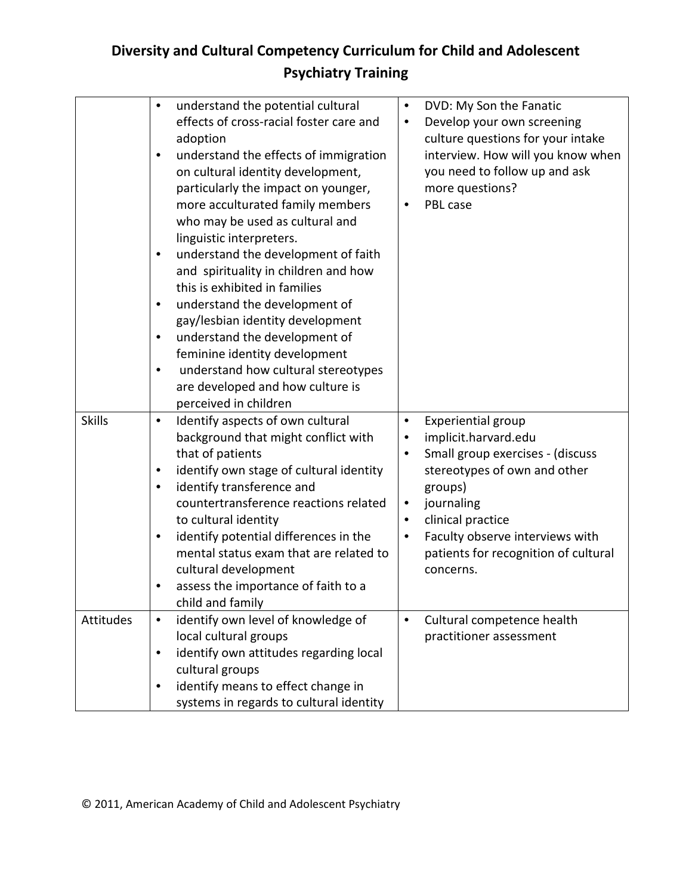|               | understand the potential cultural<br>٠<br>effects of cross-racial foster care and<br>adoption<br>understand the effects of immigration<br>٠<br>on cultural identity development,<br>particularly the impact on younger,<br>more acculturated family members<br>who may be used as cultural and<br>linguistic interpreters.<br>understand the development of faith<br>and spirituality in children and how<br>this is exhibited in families<br>understand the development of<br>٠<br>gay/lesbian identity development<br>understand the development of<br>$\bullet$<br>feminine identity development<br>understand how cultural stereotypes<br>$\bullet$<br>are developed and how culture is<br>perceived in children | $\bullet$<br>$\bullet$ | DVD: My Son the Fanatic<br>Develop your own screening<br>culture questions for your intake<br>interview. How will you know when<br>you need to follow up and ask<br>more questions?<br>PBL case |
|---------------|----------------------------------------------------------------------------------------------------------------------------------------------------------------------------------------------------------------------------------------------------------------------------------------------------------------------------------------------------------------------------------------------------------------------------------------------------------------------------------------------------------------------------------------------------------------------------------------------------------------------------------------------------------------------------------------------------------------------|------------------------|-------------------------------------------------------------------------------------------------------------------------------------------------------------------------------------------------|
| <b>Skills</b> | Identify aspects of own cultural<br>$\bullet$                                                                                                                                                                                                                                                                                                                                                                                                                                                                                                                                                                                                                                                                        | $\bullet$              | Experiential group                                                                                                                                                                              |
|               | background that might conflict with                                                                                                                                                                                                                                                                                                                                                                                                                                                                                                                                                                                                                                                                                  |                        | implicit.harvard.edu                                                                                                                                                                            |
|               | that of patients                                                                                                                                                                                                                                                                                                                                                                                                                                                                                                                                                                                                                                                                                                     |                        | Small group exercises - (discuss                                                                                                                                                                |
|               | identify own stage of cultural identity<br>$\bullet$                                                                                                                                                                                                                                                                                                                                                                                                                                                                                                                                                                                                                                                                 |                        | stereotypes of own and other                                                                                                                                                                    |
|               | identify transference and<br>٠                                                                                                                                                                                                                                                                                                                                                                                                                                                                                                                                                                                                                                                                                       |                        | groups)                                                                                                                                                                                         |
|               | countertransference reactions related                                                                                                                                                                                                                                                                                                                                                                                                                                                                                                                                                                                                                                                                                | $\bullet$              | journaling                                                                                                                                                                                      |
|               | to cultural identity                                                                                                                                                                                                                                                                                                                                                                                                                                                                                                                                                                                                                                                                                                 | $\bullet$              | clinical practice                                                                                                                                                                               |
|               | identify potential differences in the<br>$\bullet$                                                                                                                                                                                                                                                                                                                                                                                                                                                                                                                                                                                                                                                                   | ٠                      | Faculty observe interviews with                                                                                                                                                                 |
|               | mental status exam that are related to                                                                                                                                                                                                                                                                                                                                                                                                                                                                                                                                                                                                                                                                               |                        | patients for recognition of cultural                                                                                                                                                            |
|               | cultural development                                                                                                                                                                                                                                                                                                                                                                                                                                                                                                                                                                                                                                                                                                 |                        | concerns.                                                                                                                                                                                       |
|               | assess the importance of faith to a<br>child and family                                                                                                                                                                                                                                                                                                                                                                                                                                                                                                                                                                                                                                                              |                        |                                                                                                                                                                                                 |
| Attitudes     | identify own level of knowledge of<br>$\bullet$                                                                                                                                                                                                                                                                                                                                                                                                                                                                                                                                                                                                                                                                      | $\bullet$              | Cultural competence health                                                                                                                                                                      |
|               | local cultural groups                                                                                                                                                                                                                                                                                                                                                                                                                                                                                                                                                                                                                                                                                                |                        | practitioner assessment                                                                                                                                                                         |
|               | identify own attitudes regarding local<br>$\bullet$                                                                                                                                                                                                                                                                                                                                                                                                                                                                                                                                                                                                                                                                  |                        |                                                                                                                                                                                                 |
|               | cultural groups                                                                                                                                                                                                                                                                                                                                                                                                                                                                                                                                                                                                                                                                                                      |                        |                                                                                                                                                                                                 |
|               | identify means to effect change in<br>٠                                                                                                                                                                                                                                                                                                                                                                                                                                                                                                                                                                                                                                                                              |                        |                                                                                                                                                                                                 |
|               | systems in regards to cultural identity                                                                                                                                                                                                                                                                                                                                                                                                                                                                                                                                                                                                                                                                              |                        |                                                                                                                                                                                                 |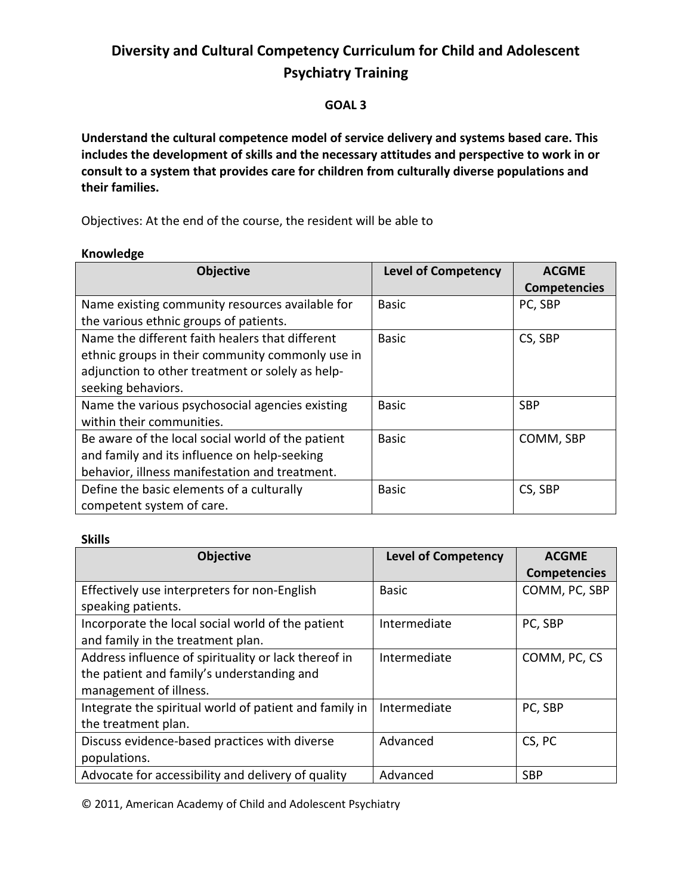#### **GOAL 3**

**Understand the cultural competence model of service delivery and systems based care. This includes the development of skills and the necessary attitudes and perspective to work in or consult to a system that provides care for children from culturally diverse populations and their families.** 

Objectives: At the end of the course, the resident will be able to

#### **Knowledge**

| <b>Objective</b>                                  | <b>Level of Competency</b> | <b>ACGME</b>        |
|---------------------------------------------------|----------------------------|---------------------|
|                                                   |                            | <b>Competencies</b> |
| Name existing community resources available for   | <b>Basic</b>               | PC, SBP             |
| the various ethnic groups of patients.            |                            |                     |
| Name the different faith healers that different   | Basic                      | CS, SBP             |
| ethnic groups in their community commonly use in  |                            |                     |
| adjunction to other treatment or solely as help-  |                            |                     |
| seeking behaviors.                                |                            |                     |
| Name the various psychosocial agencies existing   | <b>Basic</b>               | <b>SBP</b>          |
| within their communities.                         |                            |                     |
| Be aware of the local social world of the patient | Basic                      | COMM, SBP           |
| and family and its influence on help-seeking      |                            |                     |
| behavior, illness manifestation and treatment.    |                            |                     |
| Define the basic elements of a culturally         | <b>Basic</b>               | CS, SBP             |
| competent system of care.                         |                            |                     |

#### **Skills**

| <b>Objective</b>                                       | <b>Level of Competency</b> | <b>ACGME</b>        |
|--------------------------------------------------------|----------------------------|---------------------|
|                                                        |                            | <b>Competencies</b> |
| Effectively use interpreters for non-English           | <b>Basic</b>               | COMM, PC, SBP       |
| speaking patients.                                     |                            |                     |
| Incorporate the local social world of the patient      | Intermediate               | PC, SBP             |
| and family in the treatment plan.                      |                            |                     |
| Address influence of spirituality or lack thereof in   | Intermediate               | COMM, PC, CS        |
| the patient and family's understanding and             |                            |                     |
| management of illness.                                 |                            |                     |
| Integrate the spiritual world of patient and family in | Intermediate               | PC, SBP             |
| the treatment plan.                                    |                            |                     |
| Discuss evidence-based practices with diverse          | Advanced                   | CS, PC              |
| populations.                                           |                            |                     |
| Advocate for accessibility and delivery of quality     | Advanced                   | <b>SBP</b>          |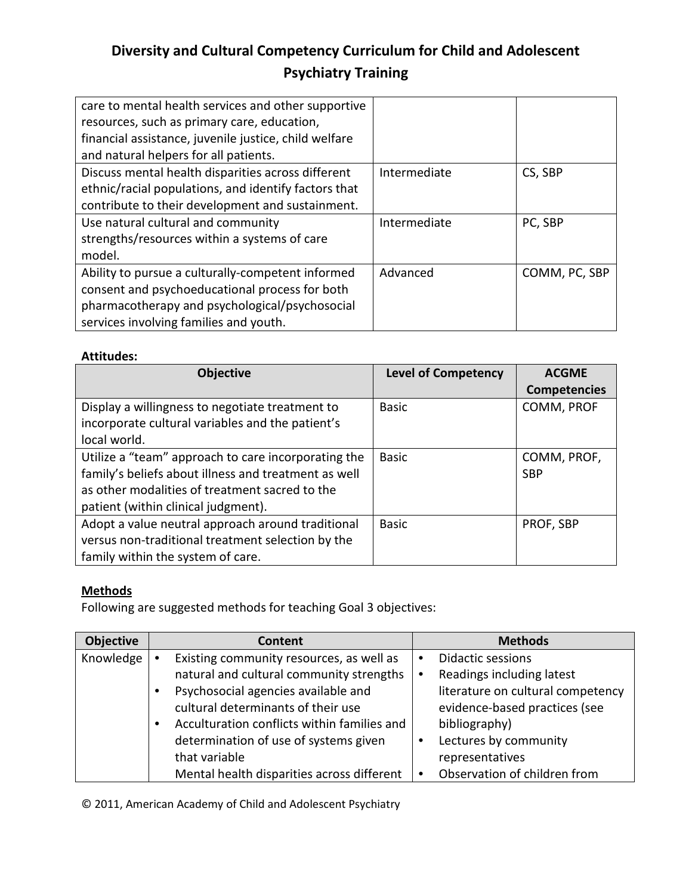| care to mental health services and other supportive<br>resources, such as primary care, education,<br>financial assistance, juvenile justice, child welfare<br>and natural helpers for all patients. |              |               |
|------------------------------------------------------------------------------------------------------------------------------------------------------------------------------------------------------|--------------|---------------|
| Discuss mental health disparities across different<br>ethnic/racial populations, and identify factors that<br>contribute to their development and sustainment.                                       | Intermediate | CS, SBP       |
| Use natural cultural and community<br>strengths/resources within a systems of care<br>model.                                                                                                         | Intermediate | PC, SBP       |
| Ability to pursue a culturally-competent informed<br>consent and psychoeducational process for both<br>pharmacotherapy and psychological/psychosocial<br>services involving families and youth.      | Advanced     | COMM, PC, SBP |

#### **Attitudes:**

| <b>Objective</b>                                     | <b>Level of Competency</b> | <b>ACGME</b>        |
|------------------------------------------------------|----------------------------|---------------------|
|                                                      |                            | <b>Competencies</b> |
| Display a willingness to negotiate treatment to      | <b>Basic</b>               | COMM, PROF          |
| incorporate cultural variables and the patient's     |                            |                     |
| local world.                                         |                            |                     |
| Utilize a "team" approach to care incorporating the  | <b>Basic</b>               | COMM, PROF,         |
| family's beliefs about illness and treatment as well |                            | <b>SBP</b>          |
| as other modalities of treatment sacred to the       |                            |                     |
| patient (within clinical judgment).                  |                            |                     |
| Adopt a value neutral approach around traditional    | <b>Basic</b>               | PROF, SBP           |
| versus non-traditional treatment selection by the    |                            |                     |
| family within the system of care.                    |                            |                     |

## **Methods**

Following are suggested methods for teaching Goal 3 objectives:

| <b>Objective</b> | Content                                     | <b>Methods</b>                    |
|------------------|---------------------------------------------|-----------------------------------|
| Knowledge        | Existing community resources, as well as    | <b>Didactic sessions</b><br>٠     |
|                  | natural and cultural community strengths    | Readings including latest         |
|                  | Psychosocial agencies available and         | literature on cultural competency |
|                  | cultural determinants of their use          | evidence-based practices (see     |
|                  | Acculturation conflicts within families and | bibliography)                     |
|                  | determination of use of systems given       | Lectures by community             |
|                  | that variable                               | representatives                   |
|                  | Mental health disparities across different  | Observation of children from      |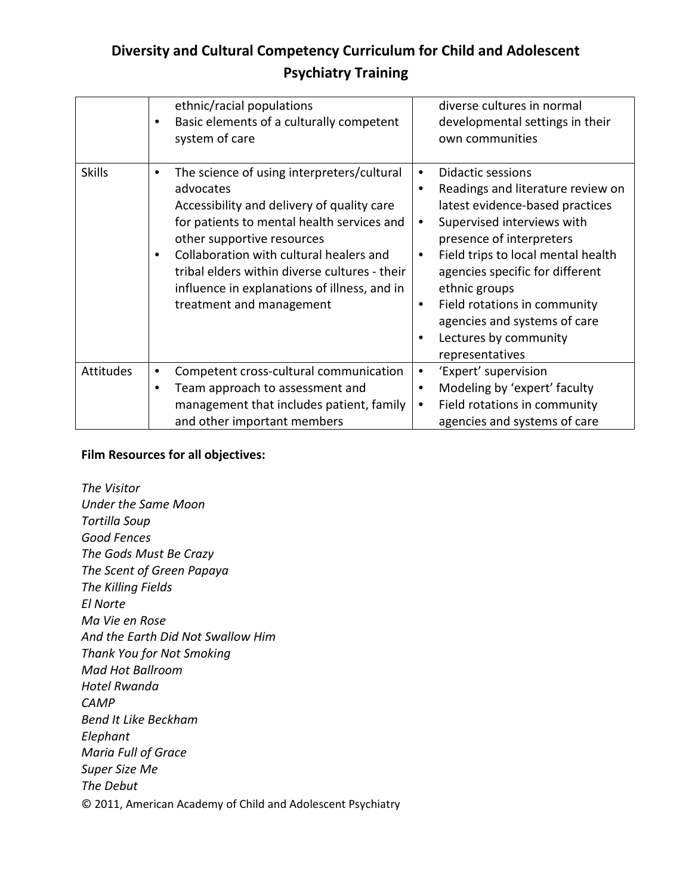|                  | ethnic/racial populations<br>Basic elements of a culturally competent<br>٠<br>system of care                                                                                                                                                                                                                                                                   | diverse cultures in normal<br>developmental settings in their<br>own communities                                                                                                                                                                                                                                                                                                                          |
|------------------|----------------------------------------------------------------------------------------------------------------------------------------------------------------------------------------------------------------------------------------------------------------------------------------------------------------------------------------------------------------|-----------------------------------------------------------------------------------------------------------------------------------------------------------------------------------------------------------------------------------------------------------------------------------------------------------------------------------------------------------------------------------------------------------|
| <b>Skills</b>    | The science of using interpreters/cultural<br>٠<br>advocates<br>Accessibility and delivery of quality care<br>for patients to mental health services and<br>other supportive resources<br>Collaboration with cultural healers and<br>tribal elders within diverse cultures - their<br>influence in explanations of illness, and in<br>treatment and management | <b>Didactic sessions</b><br>$\bullet$<br>Readings and literature review on<br>٠<br>latest evidence-based practices<br>Supervised interviews with<br>٠<br>presence of interpreters<br>Field trips to local mental health<br>$\bullet$<br>agencies specific for different<br>ethnic groups<br>Field rotations in community<br>٠<br>agencies and systems of care<br>Lectures by community<br>representatives |
| <b>Attitudes</b> | Competent cross-cultural communication<br>٠                                                                                                                                                                                                                                                                                                                    | 'Expert' supervision<br>٠                                                                                                                                                                                                                                                                                                                                                                                 |
|                  | Team approach to assessment and<br>management that includes patient, family                                                                                                                                                                                                                                                                                    | Modeling by 'expert' faculty<br>Field rotations in community<br>$\bullet$                                                                                                                                                                                                                                                                                                                                 |
|                  | and other important members                                                                                                                                                                                                                                                                                                                                    | agencies and systems of care                                                                                                                                                                                                                                                                                                                                                                              |

#### **Film Resources for all objectives:**

© 2011, American Academy of Child and Adolescent Psychiatry *The Visitor Under the Same Moon Tortilla Soup Good Fences The Gods Must Be Crazy The Scent of Green Papaya The Killing Fields El Norte Ma Vie en Rose And the Earth Did Not Swallow Him Thank You for Not Smoking Mad Hot Ballroom Hotel Rwanda CAMP Bend It Like Beckham Elephant Maria Full of Grace Super Size Me The Debut*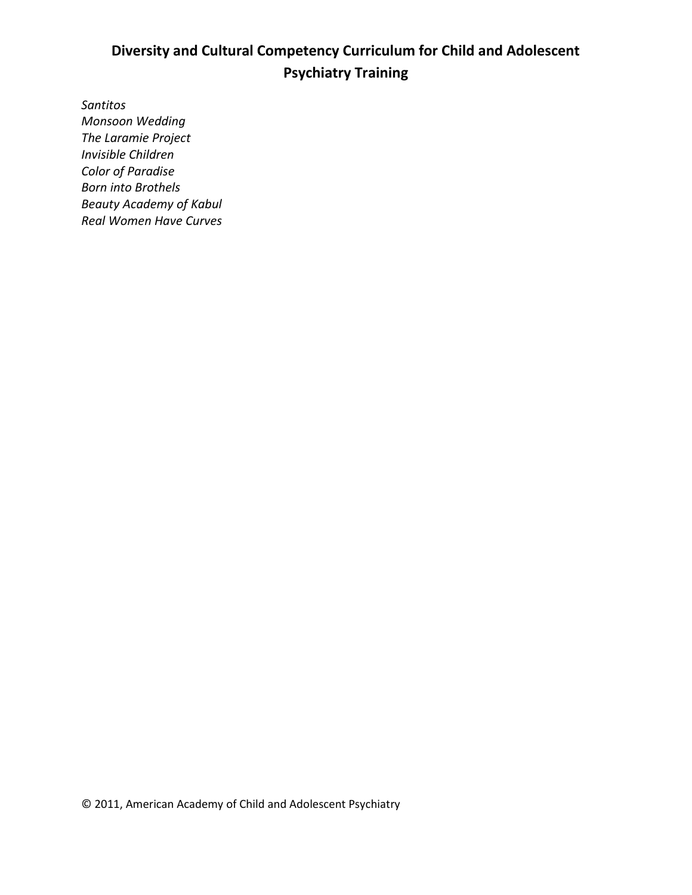*Santitos Monsoon Wedding The Laramie Project Invisible Children Color of Paradise Born into Brothels Beauty Academy of Kabul Real Women Have Curves*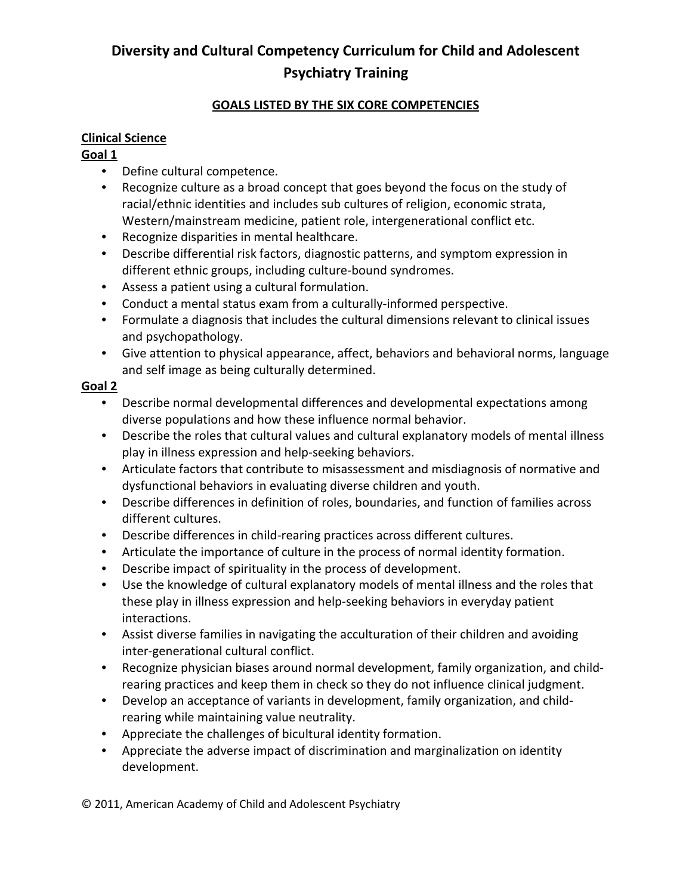### **GOALS LISTED BY THE SIX CORE COMPETENCIES**

#### **Clinical Science**

#### **Goal 1**

- Define cultural competence.
- Recognize culture as a broad concept that goes beyond the focus on the study of racial/ethnic identities and includes sub cultures of religion, economic strata, Western/mainstream medicine, patient role, intergenerational conflict etc.
- Recognize disparities in mental healthcare.
- Describe differential risk factors, diagnostic patterns, and symptom expression in different ethnic groups, including culture-bound syndromes.
- Assess a patient using a cultural formulation.
- Conduct a mental status exam from a culturally-informed perspective.
- Formulate a diagnosis that includes the cultural dimensions relevant to clinical issues and psychopathology.
- Give attention to physical appearance, affect, behaviors and behavioral norms, language and self image as being culturally determined.

#### **Goal 2**

- Describe normal developmental differences and developmental expectations among diverse populations and how these influence normal behavior.
- Describe the roles that cultural values and cultural explanatory models of mental illness play in illness expression and help-seeking behaviors.
- Articulate factors that contribute to misassessment and misdiagnosis of normative and dysfunctional behaviors in evaluating diverse children and youth.
- Describe differences in definition of roles, boundaries, and function of families across different cultures.
- Describe differences in child-rearing practices across different cultures.
- Articulate the importance of culture in the process of normal identity formation.
- Describe impact of spirituality in the process of development.
- Use the knowledge of cultural explanatory models of mental illness and the roles that these play in illness expression and help-seeking behaviors in everyday patient interactions.
- Assist diverse families in navigating the acculturation of their children and avoiding inter-generational cultural conflict.
- Recognize physician biases around normal development, family organization, and childrearing practices and keep them in check so they do not influence clinical judgment.
- Develop an acceptance of variants in development, family organization, and childrearing while maintaining value neutrality.
- Appreciate the challenges of bicultural identity formation.
- Appreciate the adverse impact of discrimination and marginalization on identity development.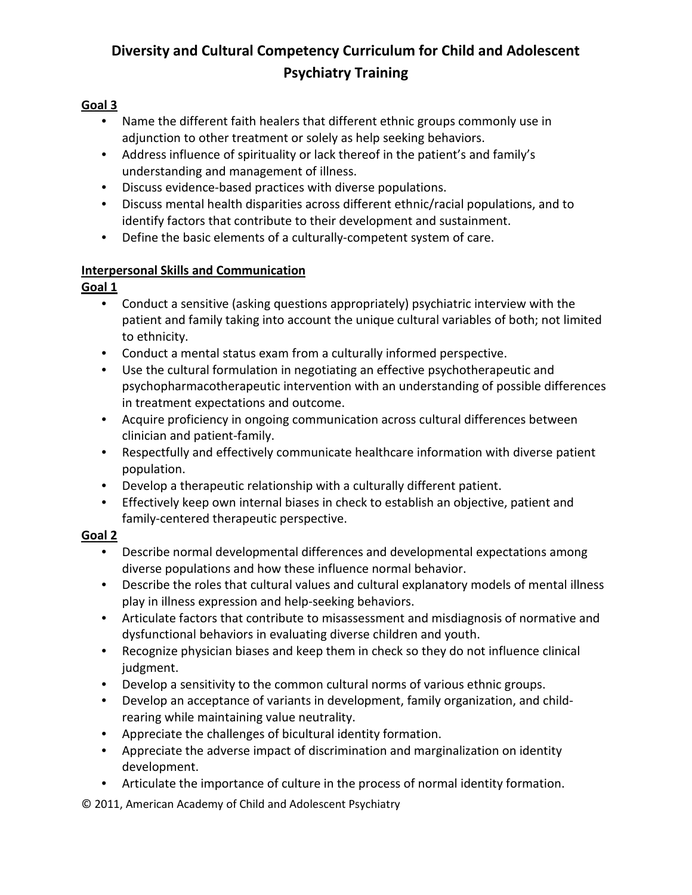### **Goal 3**

- Name the different faith healers that different ethnic groups commonly use in adjunction to other treatment or solely as help seeking behaviors.
- Address influence of spirituality or lack thereof in the patient's and family's understanding and management of illness.
- Discuss evidence-based practices with diverse populations.
- Discuss mental health disparities across different ethnic/racial populations, and to identify factors that contribute to their development and sustainment.
- Define the basic elements of a culturally-competent system of care.

### **Interpersonal Skills and Communication**

### **Goal 1**

- Conduct a sensitive (asking questions appropriately) psychiatric interview with the patient and family taking into account the unique cultural variables of both; not limited to ethnicity.
- Conduct a mental status exam from a culturally informed perspective.
- Use the cultural formulation in negotiating an effective psychotherapeutic and psychopharmacotherapeutic intervention with an understanding of possible differences in treatment expectations and outcome.
- Acquire proficiency in ongoing communication across cultural differences between clinician and patient-family.
- Respectfully and effectively communicate healthcare information with diverse patient population.
- Develop a therapeutic relationship with a culturally different patient.
- Effectively keep own internal biases in check to establish an objective, patient and family-centered therapeutic perspective.

### **Goal 2**

- Describe normal developmental differences and developmental expectations among diverse populations and how these influence normal behavior.
- Describe the roles that cultural values and cultural explanatory models of mental illness play in illness expression and help-seeking behaviors.
- Articulate factors that contribute to misassessment and misdiagnosis of normative and dysfunctional behaviors in evaluating diverse children and youth.
- Recognize physician biases and keep them in check so they do not influence clinical judgment.
- Develop a sensitivity to the common cultural norms of various ethnic groups.
- Develop an acceptance of variants in development, family organization, and childrearing while maintaining value neutrality.
- Appreciate the challenges of bicultural identity formation.
- Appreciate the adverse impact of discrimination and marginalization on identity development.
- Articulate the importance of culture in the process of normal identity formation.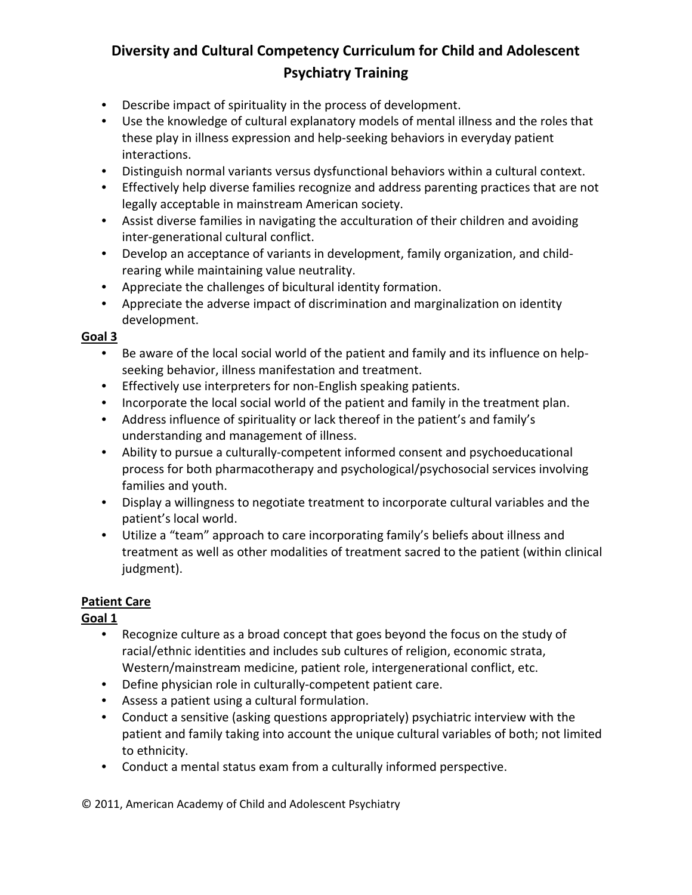- Describe impact of spirituality in the process of development.
- Use the knowledge of cultural explanatory models of mental illness and the roles that these play in illness expression and help-seeking behaviors in everyday patient interactions.
- Distinguish normal variants versus dysfunctional behaviors within a cultural context.
- Effectively help diverse families recognize and address parenting practices that are not legally acceptable in mainstream American society.
- Assist diverse families in navigating the acculturation of their children and avoiding inter-generational cultural conflict.
- Develop an acceptance of variants in development, family organization, and childrearing while maintaining value neutrality.
- Appreciate the challenges of bicultural identity formation.
- Appreciate the adverse impact of discrimination and marginalization on identity development.

#### **Goal 3**

- Be aware of the local social world of the patient and family and its influence on helpseeking behavior, illness manifestation and treatment.
- Effectively use interpreters for non-English speaking patients.
- Incorporate the local social world of the patient and family in the treatment plan.
- Address influence of spirituality or lack thereof in the patient's and family's understanding and management of illness.
- Ability to pursue a culturally-competent informed consent and psychoeducational process for both pharmacotherapy and psychological/psychosocial services involving families and youth.
- Display a willingness to negotiate treatment to incorporate cultural variables and the patient's local world.
- Utilize a "team" approach to care incorporating family's beliefs about illness and treatment as well as other modalities of treatment sacred to the patient (within clinical judgment).

#### **Patient Care**

### **Goal 1**

- Recognize culture as a broad concept that goes beyond the focus on the study of racial/ethnic identities and includes sub cultures of religion, economic strata, Western/mainstream medicine, patient role, intergenerational conflict, etc.
- Define physician role in culturally-competent patient care.
- Assess a patient using a cultural formulation.
- Conduct a sensitive (asking questions appropriately) psychiatric interview with the patient and family taking into account the unique cultural variables of both; not limited to ethnicity.
- Conduct a mental status exam from a culturally informed perspective.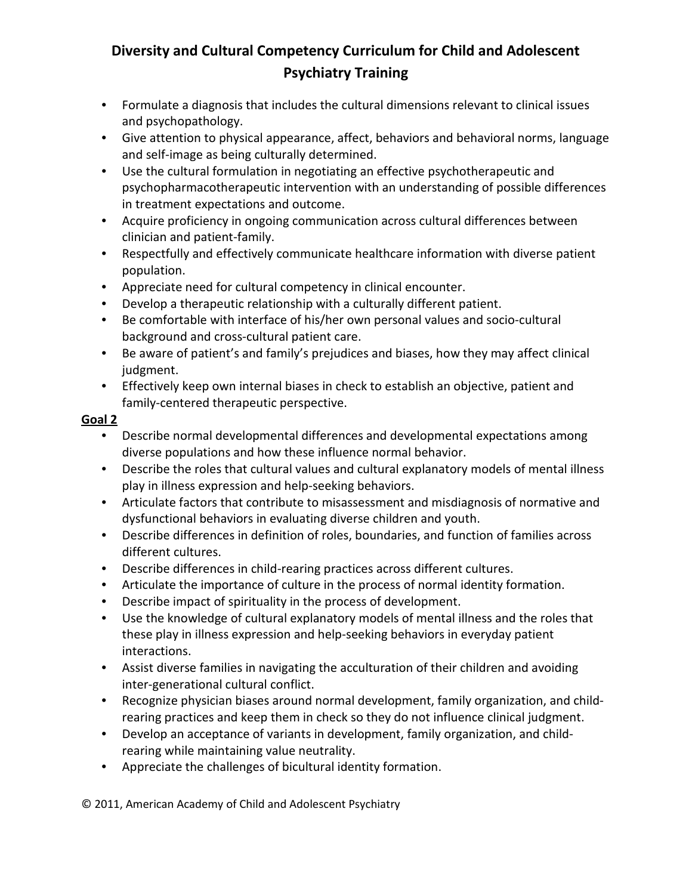- Formulate a diagnosis that includes the cultural dimensions relevant to clinical issues and psychopathology.
- Give attention to physical appearance, affect, behaviors and behavioral norms, language and self-image as being culturally determined.
- Use the cultural formulation in negotiating an effective psychotherapeutic and psychopharmacotherapeutic intervention with an understanding of possible differences in treatment expectations and outcome.
- Acquire proficiency in ongoing communication across cultural differences between clinician and patient-family.
- Respectfully and effectively communicate healthcare information with diverse patient population.
- Appreciate need for cultural competency in clinical encounter.
- Develop a therapeutic relationship with a culturally different patient.
- Be comfortable with interface of his/her own personal values and socio-cultural background and cross-cultural patient care.
- Be aware of patient's and family's prejudices and biases, how they may affect clinical judgment.
- Effectively keep own internal biases in check to establish an objective, patient and family-centered therapeutic perspective.

### **Goal 2**

- Describe normal developmental differences and developmental expectations among diverse populations and how these influence normal behavior.
- Describe the roles that cultural values and cultural explanatory models of mental illness play in illness expression and help-seeking behaviors.
- Articulate factors that contribute to misassessment and misdiagnosis of normative and dysfunctional behaviors in evaluating diverse children and youth.
- Describe differences in definition of roles, boundaries, and function of families across different cultures.
- Describe differences in child-rearing practices across different cultures.
- Articulate the importance of culture in the process of normal identity formation.
- Describe impact of spirituality in the process of development.
- Use the knowledge of cultural explanatory models of mental illness and the roles that these play in illness expression and help-seeking behaviors in everyday patient interactions.
- Assist diverse families in navigating the acculturation of their children and avoiding inter-generational cultural conflict.
- Recognize physician biases around normal development, family organization, and childrearing practices and keep them in check so they do not influence clinical judgment.
- Develop an acceptance of variants in development, family organization, and childrearing while maintaining value neutrality.
- Appreciate the challenges of bicultural identity formation.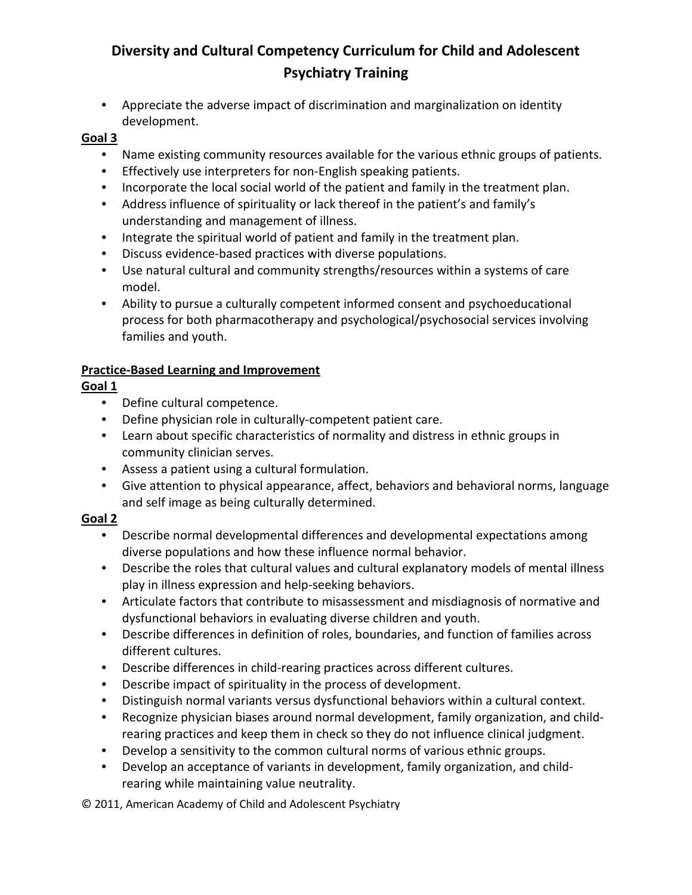• Appreciate the adverse impact of discrimination and marginalization on identity development.

#### **Goal 3**

- Name existing community resources available for the various ethnic groups of patients.
- Effectively use interpreters for non-English speaking patients.
- Incorporate the local social world of the patient and family in the treatment plan.
- Address influence of spirituality or lack thereof in the patient's and family's understanding and management of illness.
- Integrate the spiritual world of patient and family in the treatment plan.
- Discuss evidence-based practices with diverse populations.
- Use natural cultural and community strengths/resources within a systems of care model.
- Ability to pursue a culturally competent informed consent and psychoeducational process for both pharmacotherapy and psychological/psychosocial services involving families and youth.

### **Practice-Based Learning and Improvement**

### **Goal 1**

- Define cultural competence.
- Define physician role in culturally-competent patient care.
- Learn about specific characteristics of normality and distress in ethnic groups in community clinician serves.
- Assess a patient using a cultural formulation.
- Give attention to physical appearance, affect, behaviors and behavioral norms, language and self image as being culturally determined.

#### **Goal 2**

- Describe normal developmental differences and developmental expectations among diverse populations and how these influence normal behavior.
- Describe the roles that cultural values and cultural explanatory models of mental illness play in illness expression and help-seeking behaviors.
- Articulate factors that contribute to misassessment and misdiagnosis of normative and dysfunctional behaviors in evaluating diverse children and youth.
- Describe differences in definition of roles, boundaries, and function of families across different cultures.
- Describe differences in child-rearing practices across different cultures.
- Describe impact of spirituality in the process of development.
- Distinguish normal variants versus dysfunctional behaviors within a cultural context.
- Recognize physician biases around normal development, family organization, and childrearing practices and keep them in check so they do not influence clinical judgment.
- Develop a sensitivity to the common cultural norms of various ethnic groups.
- Develop an acceptance of variants in development, family organization, and childrearing while maintaining value neutrality.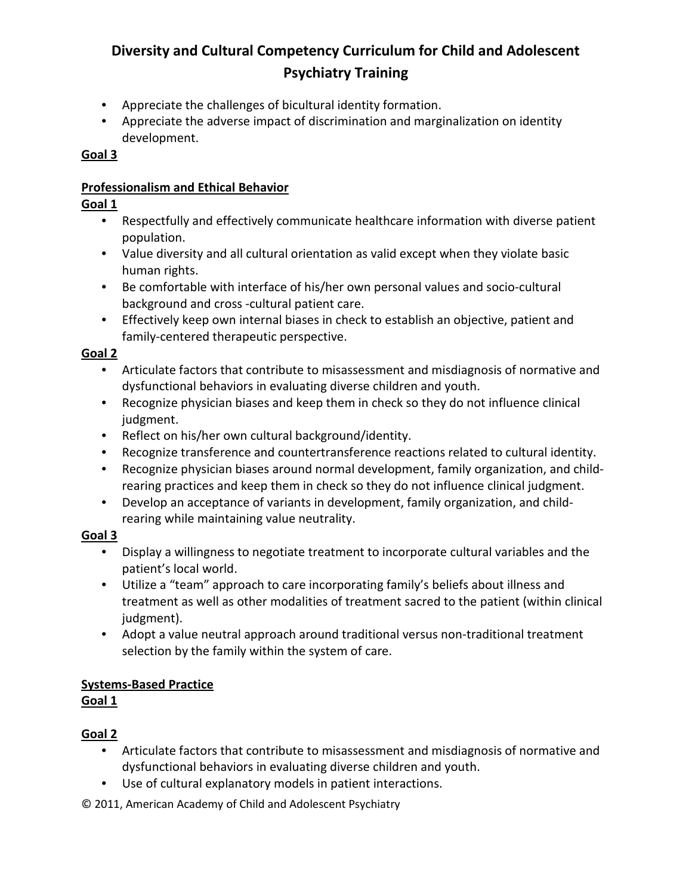- Appreciate the challenges of bicultural identity formation.
- Appreciate the adverse impact of discrimination and marginalization on identity development.

#### **Goal 3**

#### **Professionalism and Ethical Behavior**

#### **Goal 1**

- Respectfully and effectively communicate healthcare information with diverse patient population.
- Value diversity and all cultural orientation as valid except when they violate basic human rights.
- Be comfortable with interface of his/her own personal values and socio-cultural background and cross -cultural patient care.
- Effectively keep own internal biases in check to establish an objective, patient and family-centered therapeutic perspective.

#### **Goal 2**

- Articulate factors that contribute to misassessment and misdiagnosis of normative and dysfunctional behaviors in evaluating diverse children and youth.
- Recognize physician biases and keep them in check so they do not influence clinical judgment.
- Reflect on his/her own cultural background/identity.
- Recognize transference and countertransference reactions related to cultural identity.
- Recognize physician biases around normal development, family organization, and childrearing practices and keep them in check so they do not influence clinical judgment.
- Develop an acceptance of variants in development, family organization, and childrearing while maintaining value neutrality.

### **Goal 3**

- Display a willingness to negotiate treatment to incorporate cultural variables and the patient's local world.
- Utilize a "team" approach to care incorporating family's beliefs about illness and treatment as well as other modalities of treatment sacred to the patient (within clinical judgment).
- Adopt a value neutral approach around traditional versus non-traditional treatment selection by the family within the system of care.

### **Systems-Based Practice**

### **Goal 1**

## **Goal 2**

- Articulate factors that contribute to misassessment and misdiagnosis of normative and dysfunctional behaviors in evaluating diverse children and youth.
- Use of cultural explanatory models in patient interactions.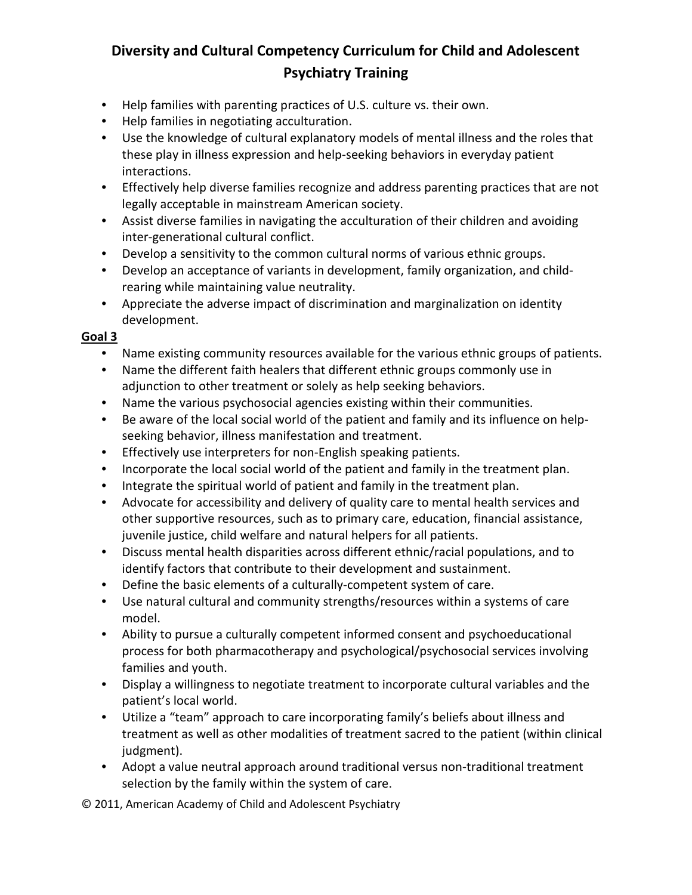- Help families with parenting practices of U.S. culture vs. their own.
- Help families in negotiating acculturation.
- Use the knowledge of cultural explanatory models of mental illness and the roles that these play in illness expression and help-seeking behaviors in everyday patient interactions.
- Effectively help diverse families recognize and address parenting practices that are not legally acceptable in mainstream American society.
- Assist diverse families in navigating the acculturation of their children and avoiding inter-generational cultural conflict.
- Develop a sensitivity to the common cultural norms of various ethnic groups.
- Develop an acceptance of variants in development, family organization, and childrearing while maintaining value neutrality.
- Appreciate the adverse impact of discrimination and marginalization on identity development.

#### **Goal 3**

- Name existing community resources available for the various ethnic groups of patients.
- Name the different faith healers that different ethnic groups commonly use in adjunction to other treatment or solely as help seeking behaviors.
- Name the various psychosocial agencies existing within their communities.
- Be aware of the local social world of the patient and family and its influence on helpseeking behavior, illness manifestation and treatment.
- Effectively use interpreters for non-English speaking patients.
- Incorporate the local social world of the patient and family in the treatment plan.
- Integrate the spiritual world of patient and family in the treatment plan.
- Advocate for accessibility and delivery of quality care to mental health services and other supportive resources, such as to primary care, education, financial assistance, juvenile justice, child welfare and natural helpers for all patients.
- Discuss mental health disparities across different ethnic/racial populations, and to identify factors that contribute to their development and sustainment.
- Define the basic elements of a culturally-competent system of care.
- Use natural cultural and community strengths/resources within a systems of care model.
- Ability to pursue a culturally competent informed consent and psychoeducational process for both pharmacotherapy and psychological/psychosocial services involving families and youth.
- Display a willingness to negotiate treatment to incorporate cultural variables and the patient's local world.
- Utilize a "team" approach to care incorporating family's beliefs about illness and treatment as well as other modalities of treatment sacred to the patient (within clinical judgment).
- Adopt a value neutral approach around traditional versus non-traditional treatment selection by the family within the system of care.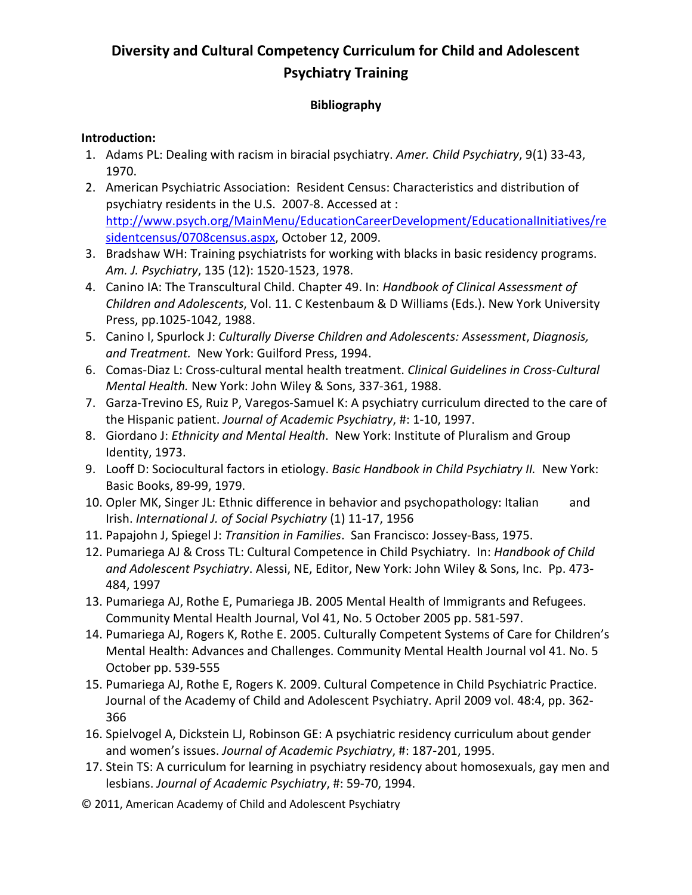### **Bibliography**

#### **Introduction:**

- 1. Adams PL: Dealing with racism in biracial psychiatry. *Amer. Child Psychiatry*, 9(1) 33-43, 1970.
- 2. American Psychiatric Association: Resident Census: Characteristics and distribution of psychiatry residents in the U.S. 2007-8. Accessed at : [http://www.psych.org/MainMenu/EducationCareerDevelopment/EducationalInitiatives/re](http://www.psych.org/MainMenu/EducationCareerDevelopment/EducationalInitiatives/residentcensus/0708census.aspx) [sidentcensus/0708census.aspx,](http://www.psych.org/MainMenu/EducationCareerDevelopment/EducationalInitiatives/residentcensus/0708census.aspx) October 12, 2009.
- 3. Bradshaw WH: Training psychiatrists for working with blacks in basic residency programs. *Am. J. Psychiatry*, 135 (12): 1520-1523, 1978.
- 4. Canino IA: The Transcultural Child. Chapter 49. In: *Handbook of Clinical Assessment of Children and Adolescents*, Vol. 11. C Kestenbaum & D Williams (Eds.). New York University Press, pp.1025-1042, 1988.
- 5. Canino I, Spurlock J: *Culturally Diverse Children and Adolescents: Assessment*, *Diagnosis, and Treatment.* New York: Guilford Press, 1994.
- 6. Comas-Diaz L: Cross-cultural mental health treatment. *Clinical Guidelines in Cross-Cultural Mental Health.* New York: John Wiley & Sons, 337-361, 1988.
- 7. Garza-Trevino ES, Ruiz P, Varegos-Samuel K: A psychiatry curriculum directed to the care of the Hispanic patient. *Journal of Academic Psychiatry*, #: 1-10, 1997.
- 8. Giordano J: *Ethnicity and Mental Health*. New York: Institute of Pluralism and Group Identity, 1973.
- 9. Looff D: Sociocultural factors in etiology. *Basic Handbook in Child Psychiatry II.* New York: Basic Books, 89-99, 1979.
- 10. Opler MK, Singer JL: Ethnic difference in behavior and psychopathology: Italian and Irish. *International J. of Social Psychiatry* (1) 11-17, 1956
- 11. Papajohn J, Spiegel J: *Transition in Families*. San Francisco: Jossey-Bass, 1975.
- 12. Pumariega AJ & Cross TL: Cultural Competence in Child Psychiatry. In: *Handbook of Child and Adolescent Psychiatry*. Alessi, NE, Editor, New York: John Wiley & Sons, Inc. Pp. 473- 484, 1997
- 13. Pumariega AJ, Rothe E, Pumariega JB. 2005 Mental Health of Immigrants and Refugees. Community Mental Health Journal, Vol 41, No. 5 October 2005 pp. 581-597.
- 14. Pumariega AJ, Rogers K, Rothe E. 2005. Culturally Competent Systems of Care for Children's Mental Health: Advances and Challenges. Community Mental Health Journal vol 41. No. 5 October pp. 539-555
- 15. Pumariega AJ, Rothe E, Rogers K. 2009. Cultural Competence in Child Psychiatric Practice. Journal of the Academy of Child and Adolescent Psychiatry. April 2009 vol. 48:4, pp. 362- 366
- 16. Spielvogel A, Dickstein LJ, Robinson GE: A psychiatric residency curriculum about gender and women's issues. *Journal of Academic Psychiatry*, #: 187-201, 1995.
- 17. Stein TS: A curriculum for learning in psychiatry residency about homosexuals, gay men and lesbians. *Journal of Academic Psychiatry*, #: 59-70, 1994.
- © 2011, American Academy of Child and Adolescent Psychiatry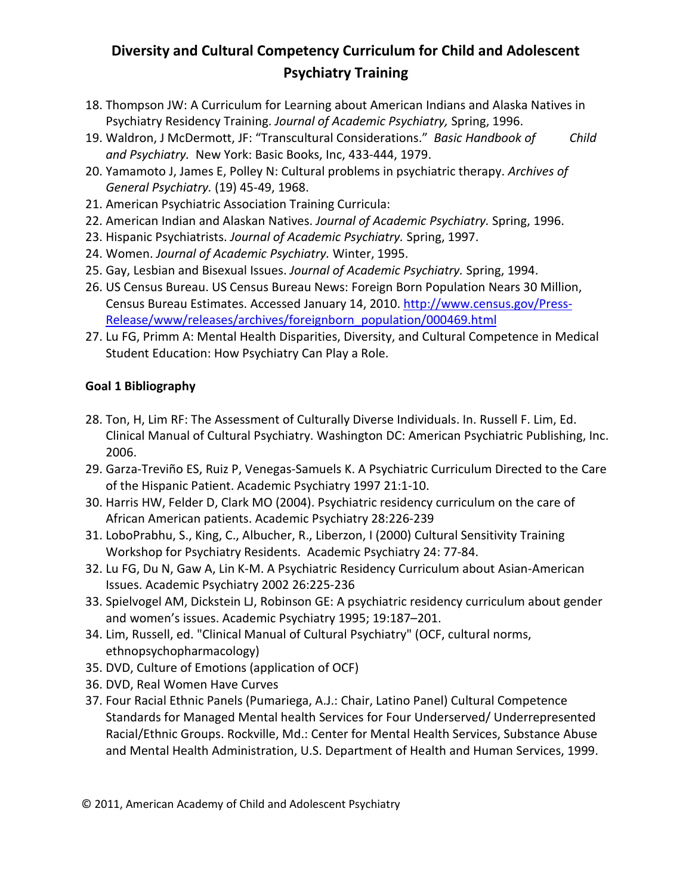- 18. Thompson JW: A Curriculum for Learning about American Indians and Alaska Natives in Psychiatry Residency Training. *Journal of Academic Psychiatry,* Spring, 1996.
- 19. Waldron, J McDermott, JF: "Transcultural Considerations." *Basic Handbook of Child and Psychiatry.* New York: Basic Books, Inc, 433-444, 1979.
- 20. Yamamoto J, James E, Polley N: Cultural problems in psychiatric therapy. *Archives of General Psychiatry.* (19) 45-49, 1968.
- 21. American Psychiatric Association Training Curricula:
- 22. American Indian and Alaskan Natives. *Journal of Academic Psychiatry.* Spring, 1996.
- 23. Hispanic Psychiatrists. *Journal of Academic Psychiatry.* Spring, 1997.
- 24. Women. *Journal of Academic Psychiatry.* Winter, 1995.
- 25. Gay, Lesbian and Bisexual Issues. *Journal of Academic Psychiatry.* Spring, 1994.
- 26. US Census Bureau. US Census Bureau News: Foreign Born Population Nears 30 Million, Census Bureau Estimates. Accessed January 14, 2010. [http://www.census.gov/Press-](http://www.census.gov/Press-Release/www/releases/archives/foreignborn_population/000469.html)[Release/www/releases/archives/foreignborn\\_population/000469.html](http://www.census.gov/Press-Release/www/releases/archives/foreignborn_population/000469.html)
- 27. Lu FG, Primm A: Mental Health Disparities, Diversity, and Cultural Competence in Medical Student Education: How Psychiatry Can Play a Role.

### **Goal 1 Bibliography**

- 28. Ton, H, Lim RF: The Assessment of Culturally Diverse Individuals. In. Russell F. Lim, Ed. Clinical Manual of Cultural Psychiatry. Washington DC: American Psychiatric Publishing, Inc. 2006.
- 29. Garza-Treviño ES, Ruiz P, Venegas-Samuels K. A Psychiatric Curriculum Directed to the Care of the Hispanic Patient. Academic Psychiatry 1997 21:1-10.
- 30. Harris HW, Felder D, Clark MO (2004). Psychiatric residency curriculum on the care of African American patients. Academic Psychiatry 28:226-239
- 31. LoboPrabhu, S., King, C., Albucher, R., Liberzon, I (2000) Cultural Sensitivity Training Workshop for Psychiatry Residents. Academic Psychiatry 24: 77-84.
- 32. Lu FG, Du N, Gaw A, Lin K-M. A Psychiatric Residency Curriculum about Asian-American Issues. Academic Psychiatry 2002 26:225-236
- 33. Spielvogel AM, Dickstein LJ, Robinson GE: A psychiatric residency curriculum about gender and women's issues. Academic Psychiatry 1995; 19:187–201.
- 34. Lim, Russell, ed. "Clinical Manual of Cultural Psychiatry" (OCF, cultural norms, ethnopsychopharmacology)
- 35. DVD, Culture of Emotions (application of OCF)
- 36. DVD, Real Women Have Curves
- 37. Four Racial Ethnic Panels (Pumariega, A.J.: Chair, Latino Panel) Cultural Competence Standards for Managed Mental health Services for Four Underserved/ Underrepresented Racial/Ethnic Groups. Rockville, Md.: Center for Mental Health Services, Substance Abuse and Mental Health Administration, U.S. Department of Health and Human Services, 1999.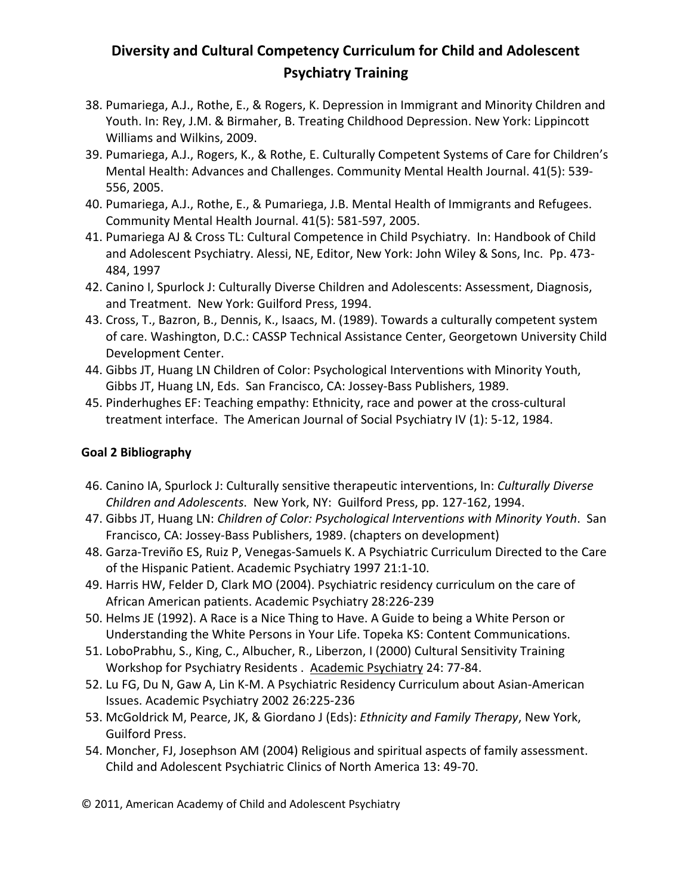- 38. Pumariega, A.J., Rothe, E., & Rogers, K. Depression in Immigrant and Minority Children and Youth. In: Rey, J.M. & Birmaher, B. Treating Childhood Depression. New York: Lippincott Williams and Wilkins, 2009.
- 39. Pumariega, A.J., Rogers, K., & Rothe, E. Culturally Competent Systems of Care for Children's Mental Health: Advances and Challenges. Community Mental Health Journal. 41(5): 539- 556, 2005.
- 40. Pumariega, A.J., Rothe, E., & Pumariega, J.B. Mental Health of Immigrants and Refugees. Community Mental Health Journal. 41(5): 581-597, 2005.
- 41. Pumariega AJ & Cross TL: Cultural Competence in Child Psychiatry. In: Handbook of Child and Adolescent Psychiatry. Alessi, NE, Editor, New York: John Wiley & Sons, Inc. Pp. 473- 484, 1997
- 42. Canino I, Spurlock J: Culturally Diverse Children and Adolescents: Assessment, Diagnosis, and Treatment. New York: Guilford Press, 1994.
- 43. Cross, T., Bazron, B., Dennis, K., Isaacs, M. (1989). Towards a culturally competent system of care. Washington, D.C.: CASSP Technical Assistance Center, Georgetown University Child Development Center.
- 44. Gibbs JT, Huang LN Children of Color: Psychological Interventions with Minority Youth, Gibbs JT, Huang LN, Eds. San Francisco, CA: Jossey-Bass Publishers, 1989.
- 45. Pinderhughes EF: Teaching empathy: Ethnicity, race and power at the cross-cultural treatment interface. The American Journal of Social Psychiatry IV (1): 5-12, 1984.

### **Goal 2 Bibliography**

- 46. Canino IA, Spurlock J: Culturally sensitive therapeutic interventions, In: *Culturally Diverse Children and Adolescents*. New York, NY: Guilford Press, pp. 127-162, 1994.
- 47. Gibbs JT, Huang LN: *Children of Color: Psychological Interventions with Minority Youth*. San Francisco, CA: Jossey-Bass Publishers, 1989. (chapters on development)
- 48. Garza-Treviño ES, Ruiz P, Venegas-Samuels K. A Psychiatric Curriculum Directed to the Care of the Hispanic Patient. Academic Psychiatry 1997 21:1-10.
- 49. Harris HW, Felder D, Clark MO (2004). Psychiatric residency curriculum on the care of African American patients. Academic Psychiatry 28:226-239
- 50. Helms JE (1992). A Race is a Nice Thing to Have. A Guide to being a White Person or Understanding the White Persons in Your Life. Topeka KS: Content Communications.
- 51. LoboPrabhu, S., King, C., Albucher, R., Liberzon, I (2000) Cultural Sensitivity Training Workshop for Psychiatry Residents . Academic Psychiatry 24: 77-84.
- 52. Lu FG, Du N, Gaw A, Lin K-M. A Psychiatric Residency Curriculum about Asian-American Issues. Academic Psychiatry 2002 26:225-236
- 53. McGoldrick M, Pearce, JK, & Giordano J (Eds): *Ethnicity and Family Therapy*, New York, Guilford Press.
- 54. Moncher, FJ, Josephson AM (2004) Religious and spiritual aspects of family assessment. Child and Adolescent Psychiatric Clinics of North America 13: 49-70.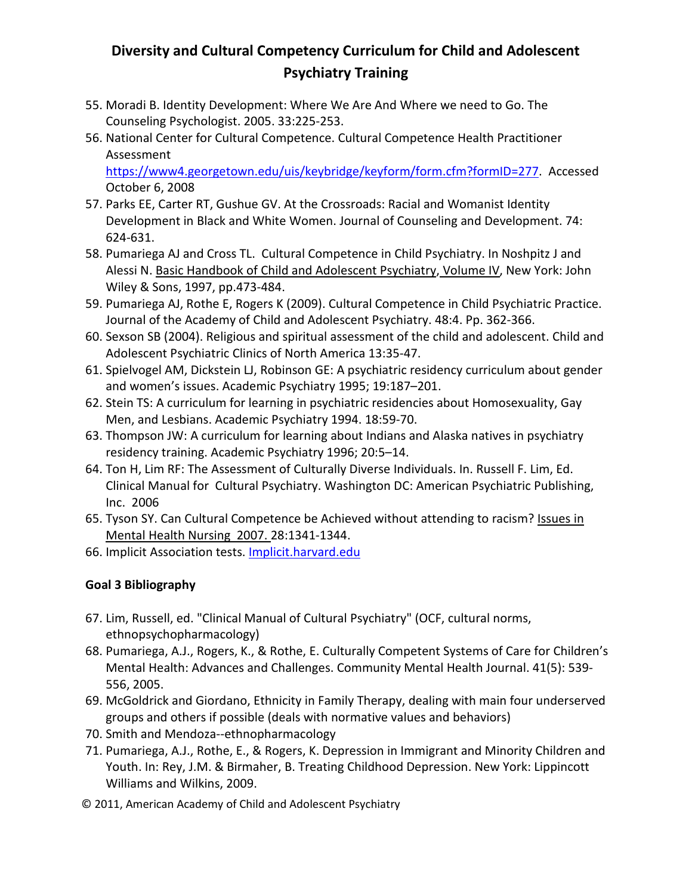- 55. Moradi B. Identity Development: Where We Are And Where we need to Go. The Counseling Psychologist. 2005. 33:225-253.
- 56. National Center for Cultural Competence. Cultural Competence Health Practitioner Assessment

[https://www4.georgetown.edu/uis/keybridge/keyform/form.cfm?formID=277.](https://www4.georgetown.edu/uis/keybridge/keyform/form.cfm?formID=277) Accessed October 6, 2008

- 57. Parks EE, Carter RT, Gushue GV. At the Crossroads: Racial and Womanist Identity Development in Black and White Women. Journal of Counseling and Development. 74: 624-631.
- 58. Pumariega AJ and Cross TL. Cultural Competence in Child Psychiatry. In Noshpitz J and Alessi N. Basic Handbook of Child and Adolescent Psychiatry, Volume IV, New York: John Wiley & Sons, 1997, pp.473-484.
- 59. Pumariega AJ, Rothe E, Rogers K (2009). Cultural Competence in Child Psychiatric Practice. Journal of the Academy of Child and Adolescent Psychiatry. 48:4. Pp. 362-366.
- 60. Sexson SB (2004). Religious and spiritual assessment of the child and adolescent. Child and Adolescent Psychiatric Clinics of North America 13:35-47.
- 61. Spielvogel AM, Dickstein LJ, Robinson GE: A psychiatric residency curriculum about gender and women's issues. Academic Psychiatry 1995; 19:187–201.
- 62. Stein TS: A curriculum for learning in psychiatric residencies about Homosexuality, Gay Men, and Lesbians. Academic Psychiatry 1994. 18:59-70.
- 63. Thompson JW: A curriculum for learning about Indians and Alaska natives in psychiatry residency training. Academic Psychiatry 1996; 20:5–14.
- 64. Ton H, Lim RF: The Assessment of Culturally Diverse Individuals. In. Russell F. Lim, Ed. Clinical Manual for Cultural Psychiatry. Washington DC: American Psychiatric Publishing, Inc. 2006
- 65. Tyson SY. Can Cultural Competence be Achieved without attending to racism? Issues in Mental Health Nursing 2007. 28:1341-1344.
- 66. Implicit Association tests. Implicit.harvard.edu

## **Goal 3 Bibliography**

- 67. Lim, Russell, ed. "Clinical Manual of Cultural Psychiatry" (OCF, cultural norms, ethnopsychopharmacology)
- 68. Pumariega, A.J., Rogers, K., & Rothe, E. Culturally Competent Systems of Care for Children's Mental Health: Advances and Challenges. Community Mental Health Journal. 41(5): 539- 556, 2005.
- 69. McGoldrick and Giordano, Ethnicity in Family Therapy, dealing with main four underserved groups and others if possible (deals with normative values and behaviors)
- 70. Smith and Mendoza--ethnopharmacology
- 71. Pumariega, A.J., Rothe, E., & Rogers, K. Depression in Immigrant and Minority Children and Youth. In: Rey, J.M. & Birmaher, B. Treating Childhood Depression. New York: Lippincott Williams and Wilkins, 2009.
- © 2011, American Academy of Child and Adolescent Psychiatry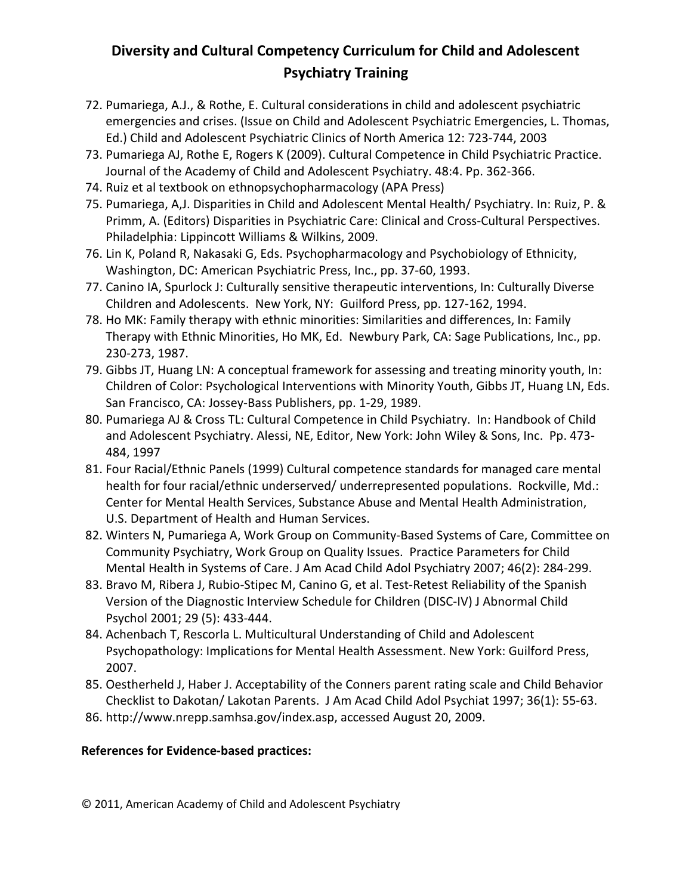- 72. Pumariega, A.J., & Rothe, E. Cultural considerations in child and adolescent psychiatric emergencies and crises. (Issue on Child and Adolescent Psychiatric Emergencies, L. Thomas, Ed.) Child and Adolescent Psychiatric Clinics of North America 12: 723-744, 2003
- 73. Pumariega AJ, Rothe E, Rogers K (2009). Cultural Competence in Child Psychiatric Practice. Journal of the Academy of Child and Adolescent Psychiatry. 48:4. Pp. 362-366.
- 74. Ruiz et al textbook on ethnopsychopharmacology (APA Press)
- 75. Pumariega, A,J. Disparities in Child and Adolescent Mental Health/ Psychiatry. In: Ruiz, P. & Primm, A. (Editors) Disparities in Psychiatric Care: Clinical and Cross-Cultural Perspectives. Philadelphia: Lippincott Williams & Wilkins, 2009.
- 76. Lin K, Poland R, Nakasaki G, Eds. Psychopharmacology and Psychobiology of Ethnicity, Washington, DC: American Psychiatric Press, Inc., pp. 37-60, 1993.
- 77. Canino IA, Spurlock J: Culturally sensitive therapeutic interventions, In: Culturally Diverse Children and Adolescents. New York, NY: Guilford Press, pp. 127-162, 1994.
- 78. Ho MK: Family therapy with ethnic minorities: Similarities and differences, In: Family Therapy with Ethnic Minorities, Ho MK, Ed. Newbury Park, CA: Sage Publications, Inc., pp. 230-273, 1987.
- 79. Gibbs JT, Huang LN: A conceptual framework for assessing and treating minority youth, In: Children of Color: Psychological Interventions with Minority Youth, Gibbs JT, Huang LN, Eds. San Francisco, CA: Jossey-Bass Publishers, pp. 1-29, 1989.
- 80. Pumariega AJ & Cross TL: Cultural Competence in Child Psychiatry. In: Handbook of Child and Adolescent Psychiatry. Alessi, NE, Editor, New York: John Wiley & Sons, Inc. Pp. 473- 484, 1997
- 81. Four Racial/Ethnic Panels (1999) Cultural competence standards for managed care mental health for four racial/ethnic underserved/ underrepresented populations. Rockville, Md.: Center for Mental Health Services, Substance Abuse and Mental Health Administration, U.S. Department of Health and Human Services.
- 82. Winters N, Pumariega A, Work Group on Community-Based Systems of Care, Committee on Community Psychiatry, Work Group on Quality Issues. Practice Parameters for Child Mental Health in Systems of Care. J Am Acad Child Adol Psychiatry 2007; 46(2): 284-299.
- 83. Bravo M, Ribera J, Rubio-Stipec M, Canino G, et al. Test-Retest Reliability of the Spanish Version of the Diagnostic Interview Schedule for Children (DISC-IV) J Abnormal Child Psychol 2001; 29 (5): 433-444.
- 84. Achenbach T, Rescorla L. Multicultural Understanding of Child and Adolescent Psychopathology: Implications for Mental Health Assessment. New York: Guilford Press, 2007.
- 85. Oestherheld J, Haber J. Acceptability of the Conners parent rating scale and Child Behavior Checklist to Dakotan/ Lakotan Parents. J Am Acad Child Adol Psychiat 1997; 36(1): 55-63.
- 86. http://www.nrepp.samhsa.gov/index.asp, accessed August 20, 2009.

### **References for Evidence-based practices:**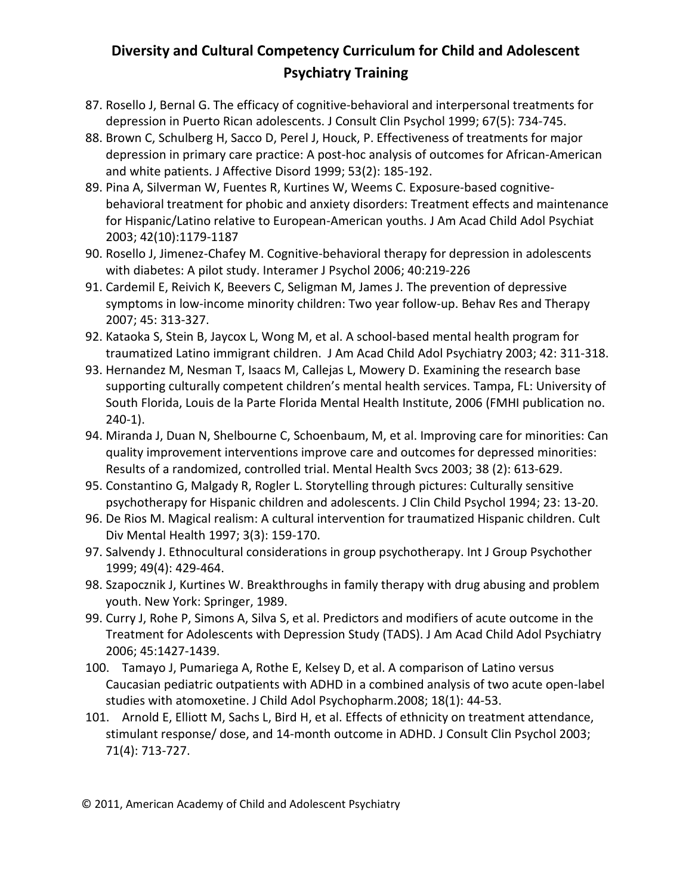- 87. Rosello J, Bernal G. The efficacy of cognitive-behavioral and interpersonal treatments for depression in Puerto Rican adolescents. J Consult Clin Psychol 1999; 67(5): 734-745.
- 88. Brown C, Schulberg H, Sacco D, Perel J, Houck, P. Effectiveness of treatments for major depression in primary care practice: A post-hoc analysis of outcomes for African-American and white patients. J Affective Disord 1999; 53(2): 185-192.
- 89. Pina A, Silverman W, Fuentes R, Kurtines W, Weems C. Exposure-based cognitivebehavioral treatment for phobic and anxiety disorders: Treatment effects and maintenance for Hispanic/Latino relative to European-American youths. J Am Acad Child Adol Psychiat 2003; 42(10):1179-1187
- 90. Rosello J, Jimenez-Chafey M. Cognitive-behavioral therapy for depression in adolescents with diabetes: A pilot study. Interamer J Psychol 2006; 40:219-226
- 91. Cardemil E, Reivich K, Beevers C, Seligman M, James J. The prevention of depressive symptoms in low-income minority children: Two year follow-up. Behav Res and Therapy 2007; 45: 313-327.
- 92. Kataoka S, Stein B, Jaycox L, Wong M, et al. A school-based mental health program for traumatized Latino immigrant children. J Am Acad Child Adol Psychiatry 2003; 42: 311-318.
- 93. Hernandez M, Nesman T, Isaacs M, Callejas L, Mowery D. Examining the research base supporting culturally competent children's mental health services. Tampa, FL: University of South Florida, Louis de la Parte Florida Mental Health Institute, 2006 (FMHI publication no. 240-1).
- 94. Miranda J, Duan N, Shelbourne C, Schoenbaum, M, et al. Improving care for minorities: Can quality improvement interventions improve care and outcomes for depressed minorities: Results of a randomized, controlled trial. Mental Health Svcs 2003; 38 (2): 613-629.
- 95. Constantino G, Malgady R, Rogler L. Storytelling through pictures: Culturally sensitive psychotherapy for Hispanic children and adolescents. J Clin Child Psychol 1994; 23: 13-20.
- 96. De Rios M. Magical realism: A cultural intervention for traumatized Hispanic children. Cult Div Mental Health 1997; 3(3): 159-170.
- 97. Salvendy J. Ethnocultural considerations in group psychotherapy. Int J Group Psychother 1999; 49(4): 429-464.
- 98. Szapocznik J, Kurtines W. Breakthroughs in family therapy with drug abusing and problem youth. New York: Springer, 1989.
- 99. Curry J, Rohe P, Simons A, Silva S, et al. Predictors and modifiers of acute outcome in the Treatment for Adolescents with Depression Study (TADS). J Am Acad Child Adol Psychiatry 2006; 45:1427-1439.
- 100. Tamayo J, Pumariega A, Rothe E, Kelsey D, et al. A comparison of Latino versus Caucasian pediatric outpatients with ADHD in a combined analysis of two acute open-label studies with atomoxetine. J Child Adol Psychopharm.2008; 18(1): 44-53.
- 101. Arnold E, Elliott M, Sachs L, Bird H, et al. Effects of ethnicity on treatment attendance, stimulant response/ dose, and 14-month outcome in ADHD. J Consult Clin Psychol 2003; 71(4): 713-727.